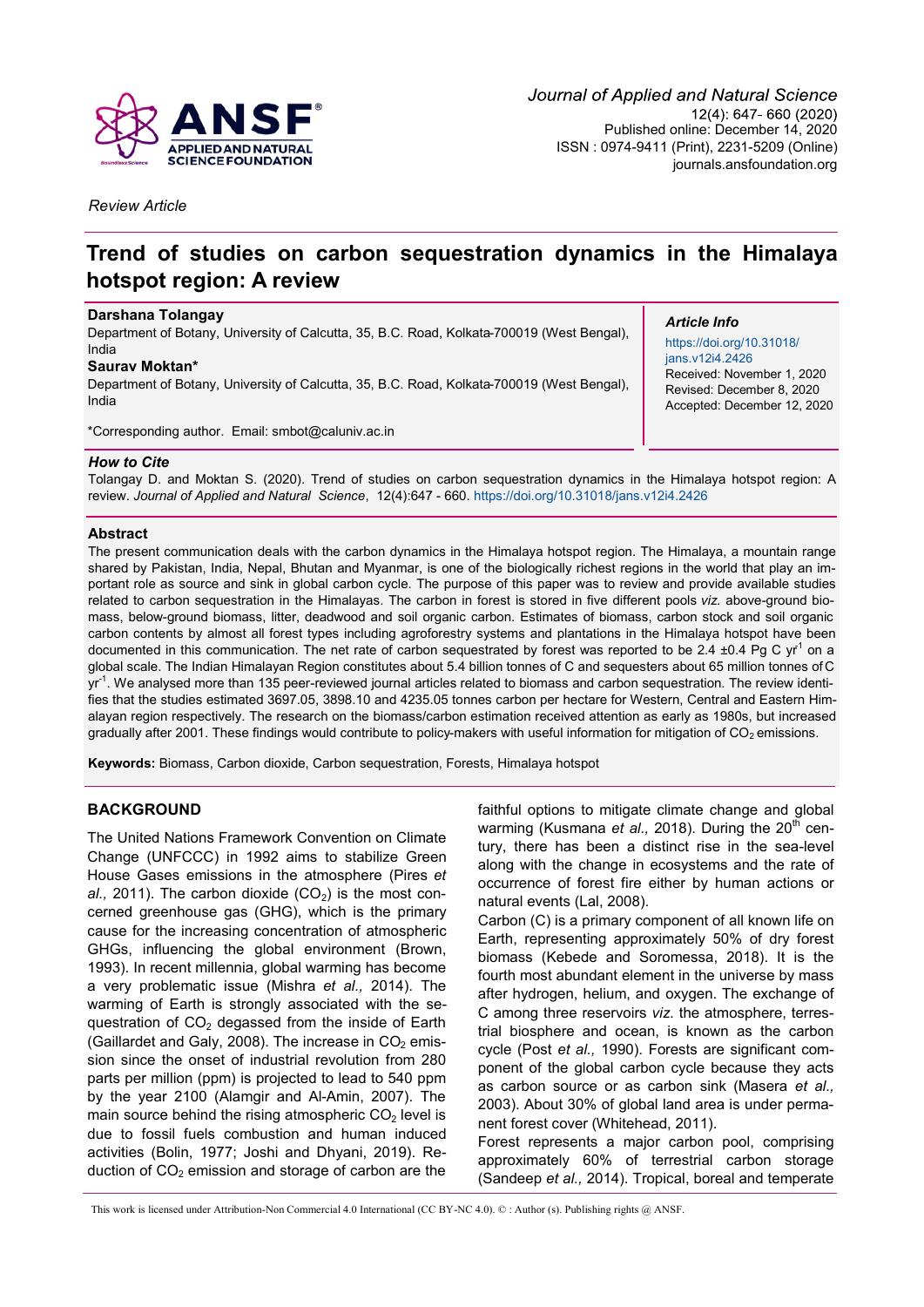

*Review Article*

# **Trend of studies on carbon sequestration dynamics in the Himalaya hotspot region: A review**

#### **Darshana Tolangay**

Department of Botany, University of Calcutta, 35, B.C. Road, Kolkata-700019 (West Bengal), India

#### **Saurav Moktan\***

Department of Botany, University of Calcutta, 35, B.C. Road, Kolkata-700019 (West Bengal), India

\*Corresponding author. Email: smbot@caluniv.ac.in

## *Article Info*

[https://doi.org/10.31018/](https://doi.org/10.31018/jans.v12i4.2426) [jans.v12i4.2426](https://doi.org/10.31018/jans.v12i4.2426) Received: November 1, 2020 Revised: December 8, 2020 Accepted: December 12, 2020

#### *How to Cite*

Tolangay D. and Moktan S. (2020). Trend of studies on carbon sequestration dynamics in the Himalaya hotspot region: A review. *Journal of Applied and Natural Science*, 12(4):647 - 660.<https://doi.org/10.31018/jans.v12i4.2426>

#### **Abstract**

The present communication deals with the carbon dynamics in the Himalaya hotspot region. The Himalaya, a mountain range shared by Pakistan, India, Nepal, Bhutan and Myanmar, is one of the biologically richest regions in the world that play an important role as source and sink in global carbon cycle. The purpose of this paper was to review and provide available studies related to carbon sequestration in the Himalayas. The carbon in forest is stored in five different pools *viz.* above-ground biomass, below-ground biomass, litter, deadwood and soil organic carbon. Estimates of biomass, carbon stock and soil organic carbon contents by almost all forest types including agroforestry systems and plantations in the Himalaya hotspot have been documented in this communication. The net rate of carbon sequestrated by forest was reported to be 2.4  $\pm$ 0.4 Pg C yr<sup>1</sup> on a global scale. The Indian Himalayan Region constitutes about 5.4 billion tonnes of C and sequesters about 65 million tonnes of C yr<sup>-1</sup>. We analysed more than 135 peer-reviewed journal articles related to biomass and carbon sequestration. The review identifies that the studies estimated 3697.05, 3898.10 and 4235.05 tonnes carbon per hectare for Western, Central and Eastern Himalayan region respectively. The research on the biomass/carbon estimation received attention as early as 1980s, but increased gradually after 2001. These findings would contribute to policy-makers with useful information for mitigation of  $CO<sub>2</sub>$  emissions.

**Keywords:** Biomass, Carbon dioxide, Carbon sequestration, Forests, Himalaya hotspot

## **BACKGROUND**

The United Nations Framework Convention on Climate Change (UNFCCC) in 1992 aims to stabilize Green House Gases emissions in the atmosphere (Pires *et*   $al., 2011$ ). The carbon dioxide  $(CO<sub>2</sub>)$  is the most concerned greenhouse gas (GHG), which is the primary cause for the increasing concentration of atmospheric GHGs, influencing the global environment (Brown, 1993). In recent millennia, global warming has become a very problematic issue (Mishra *et al.,* 2014). The warming of Earth is strongly associated with the sequestration of  $CO<sub>2</sub>$  degassed from the inside of Earth (Gaillardet and Galy, 2008). The increase in  $CO<sub>2</sub>$  emission since the onset of industrial revolution from 280 parts per million (ppm) is projected to lead to 540 ppm by the year 2100 (Alamgir and Al-Amin, 2007). The main source behind the rising atmospheric  $CO<sub>2</sub>$  level is due to fossil fuels combustion and human induced activities (Bolin, 1977; Joshi and Dhyani, 2019). Reduction of  $CO<sub>2</sub>$  emission and storage of carbon are the

faithful options to mitigate climate change and global warming (Kusmana *et al.,* 2018). During the 20<sup>th</sup> century, there has been a distinct rise in the sea-level along with the change in ecosystems and the rate of occurrence of forest fire either by human actions or natural events (Lal, 2008).

Carbon (C) is a primary component of all known life on Earth, representing approximately 50% of dry forest biomass (Kebede and Soromessa, 2018). It is the fourth most abundant element in the universe by mass after hydrogen, helium, and oxygen. The exchange of C among three reservoirs *viz*. the atmosphere, terrestrial biosphere and ocean, is known as the carbon cycle (Post *et al.,* 1990). Forests are significant component of the global carbon cycle because they acts as carbon source or as carbon sink (Masera *et al.,*  2003). About 30% of global land area is under permanent forest cover (Whitehead, 2011).

Forest represents a major carbon pool, comprising approximately 60% of terrestrial carbon storage (Sandeep *et al.,* 2014). Tropical, boreal and temperate

This work is licensed under Attribution-Non Commercial 4.0 International (CC BY-NC 4.0). © : Author (s). Publishing rights @ ANSF.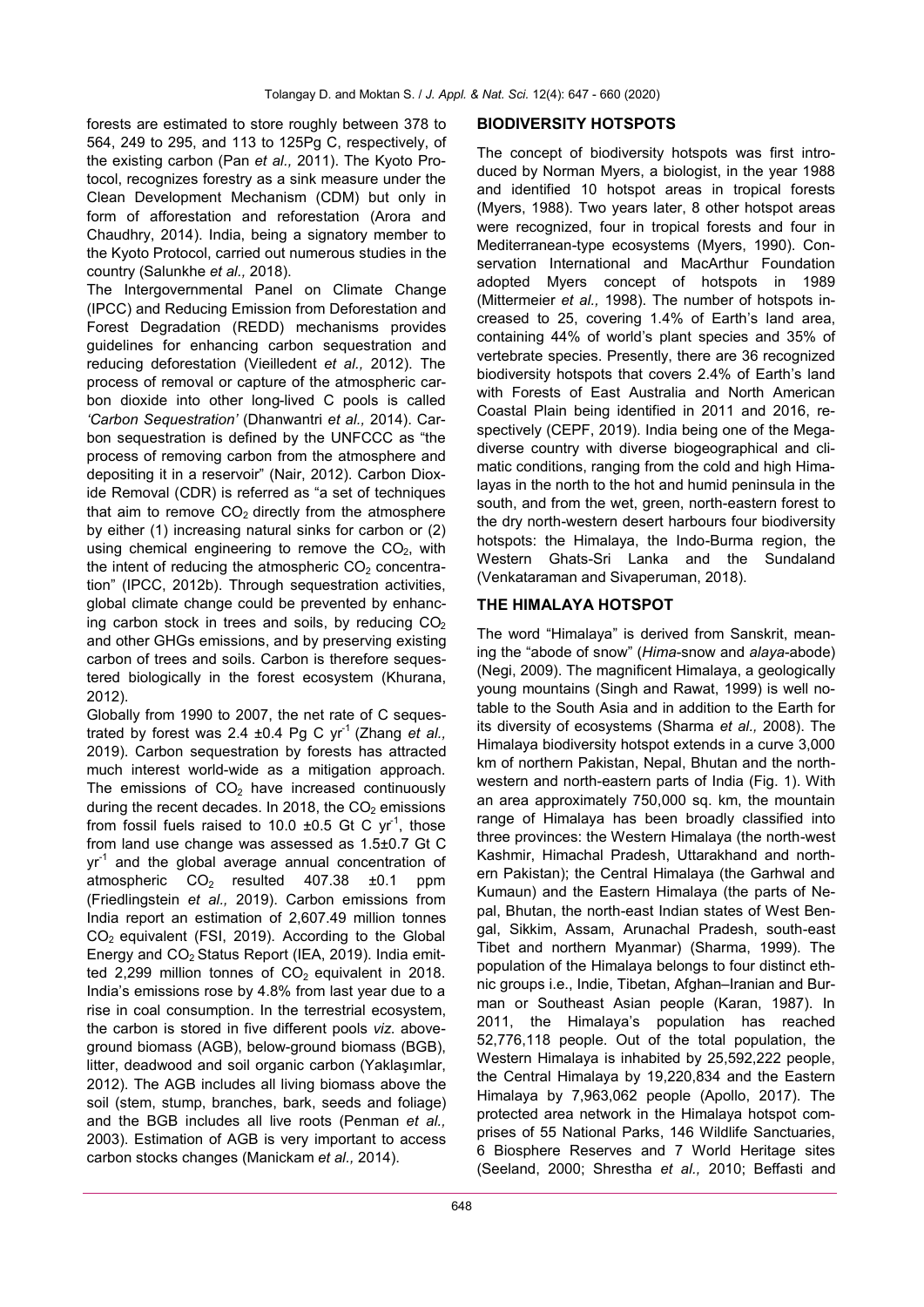forests are estimated to store roughly between 378 to 564, 249 to 295, and 113 to 125Pg C, respectively, of the existing carbon (Pan *et al.,* 2011). The Kyoto Protocol, recognizes forestry as a sink measure under the Clean Development Mechanism (CDM) but only in form of afforestation and reforestation (Arora and Chaudhry, 2014). India, being a signatory member to the Kyoto Protocol, carried out numerous studies in the country (Salunkhe *et al.,* 2018).

The Intergovernmental Panel on Climate Change (IPCC) and Reducing Emission from Deforestation and Forest Degradation (REDD) mechanisms provides guidelines for enhancing carbon sequestration and reducing deforestation (Vieilledent *et al.,* 2012). The process of removal or capture of the atmospheric carbon dioxide into other long-lived C pools is called *'Carbon Sequestration'* (Dhanwantri *et al.,* 2014). Carbon sequestration is defined by the UNFCCC as "the process of removing carbon from the atmosphere and depositing it in a reservoir" (Nair, 2012). Carbon Dioxide Removal (CDR) is referred as "a set of techniques that aim to remove  $CO<sub>2</sub>$  directly from the atmosphere by either (1) increasing natural sinks for carbon or (2) using chemical engineering to remove the  $CO<sub>2</sub>$ , with the intent of reducing the atmospheric  $CO<sub>2</sub>$  concentration" (IPCC, 2012b). Through sequestration activities, global climate change could be prevented by enhancing carbon stock in trees and soils, by reducing  $CO<sub>2</sub>$ and other GHGs emissions, and by preserving existing carbon of trees and soils. Carbon is therefore sequestered biologically in the forest ecosystem (Khurana, 2012).

Globally from 1990 to 2007, the net rate of C sequestrated by forest was 2.4  $\pm$ 0.4 Pg C yr<sup>-1</sup> (Zhang *et al.,* 2019). Carbon sequestration by forests has attracted much interest world-wide as a mitigation approach. The emissions of  $CO<sub>2</sub>$  have increased continuously during the recent decades. In 2018, the  $CO<sub>2</sub>$  emissions from fossil fuels raised to 10.0  $\pm$ 0.5 Gt C yr<sup>-1</sup>, those from land use change was assessed as 1.5±0.7 Gt C yr<sup>-1</sup> and the global average annual concentration of atmospheric  $CO<sub>2</sub>$  resulted 407.38  $\pm$ 0.1 ppm (Friedlingstein *et al.,* 2019). Carbon emissions from India report an estimation of 2,607.49 million tonnes  $CO<sub>2</sub>$  equivalent (FSI, 2019). According to the Global Energy and  $CO<sub>2</sub>$  Status Report (IEA, 2019). India emitted 2,299 million tonnes of  $CO<sub>2</sub>$  equivalent in 2018. India's emissions rose by 4.8% from last year due to a rise in coal consumption. In the terrestrial ecosystem, the carbon is stored in five different pools *viz*. aboveground biomass (AGB), below-ground biomass (BGB), litter, deadwood and soil organic carbon (Yaklaşımlar, 2012). The AGB includes all living biomass above the soil (stem, stump, branches, bark, seeds and foliage) and the BGB includes all live roots (Penman *et al.,* 2003). Estimation of AGB is very important to access carbon stocks changes (Manickam *et al.,* 2014).

#### **BIODIVERSITY HOTSPOTS**

The concept of biodiversity hotspots was first introduced by Norman Myers, a biologist, in the year 1988 and identified 10 hotspot areas in tropical forests (Myers, 1988). Two years later, 8 other hotspot areas were recognized, four in tropical forests and four in Mediterranean-type ecosystems (Myers, 1990). Conservation International and MacArthur Foundation adopted Myers concept of hotspots in 1989 (Mittermeier *et al.,* 1998). The number of hotspots increased to 25, covering 1.4% of Earth's land area, containing 44% of world's plant species and 35% of vertebrate species. Presently, there are 36 recognized biodiversity hotspots that covers 2.4% of Earth's land with Forests of East Australia and North American Coastal Plain being identified in 2011 and 2016, respectively (CEPF, 2019). India being one of the Megadiverse country with diverse biogeographical and climatic conditions, ranging from the cold and high Himalayas in the north to the hot and humid peninsula in the south, and from the wet, green, north-eastern forest to the dry north-western desert harbours four biodiversity hotspots: the Himalaya, the Indo-Burma region, the Western Ghats-Sri Lanka and the Sundaland (Venkataraman and Sivaperuman, 2018).

#### **THE HIMALAYA HOTSPOT**

The word "Himalaya" is derived from Sanskrit, meaning the "abode of snow" (*Hima*-snow and *alaya*-abode) (Negi, 2009). The magnificent Himalaya, a geologically young mountains (Singh and Rawat, 1999) is well notable to the South Asia and in addition to the Earth for its diversity of ecosystems (Sharma *et al.,* 2008). The Himalaya biodiversity hotspot extends in a curve 3,000 km of northern Pakistan, Nepal, Bhutan and the northwestern and north-eastern parts of India (Fig. 1). With an area approximately 750,000 sq. km, the mountain range of Himalaya has been broadly classified into three provinces: the Western Himalaya (the north-west Kashmir, Himachal Pradesh, Uttarakhand and northern Pakistan); the Central Himalaya (the Garhwal and Kumaun) and the Eastern Himalaya (the parts of Nepal, Bhutan, the north-east Indian states of West Bengal, Sikkim, Assam, Arunachal Pradesh, south-east Tibet and northern Myanmar) (Sharma, 1999). The population of the Himalaya belongs to four distinct ethnic groups i.e., Indie, Tibetan, Afghan–Iranian and Burman or Southeast Asian people (Karan, 1987). In 2011, the Himalaya's population has reached 52,776,118 people. Out of the total population, the Western Himalaya is inhabited by 25,592,222 people, the Central Himalaya by 19,220,834 and the Eastern Himalaya by 7,963,062 people (Apollo, 2017). The protected area network in the Himalaya hotspot comprises of 55 National Parks, 146 Wildlife Sanctuaries, 6 Biosphere Reserves and 7 World Heritage sites (Seeland, 2000; Shrestha *et al.,* 2010; Beffasti and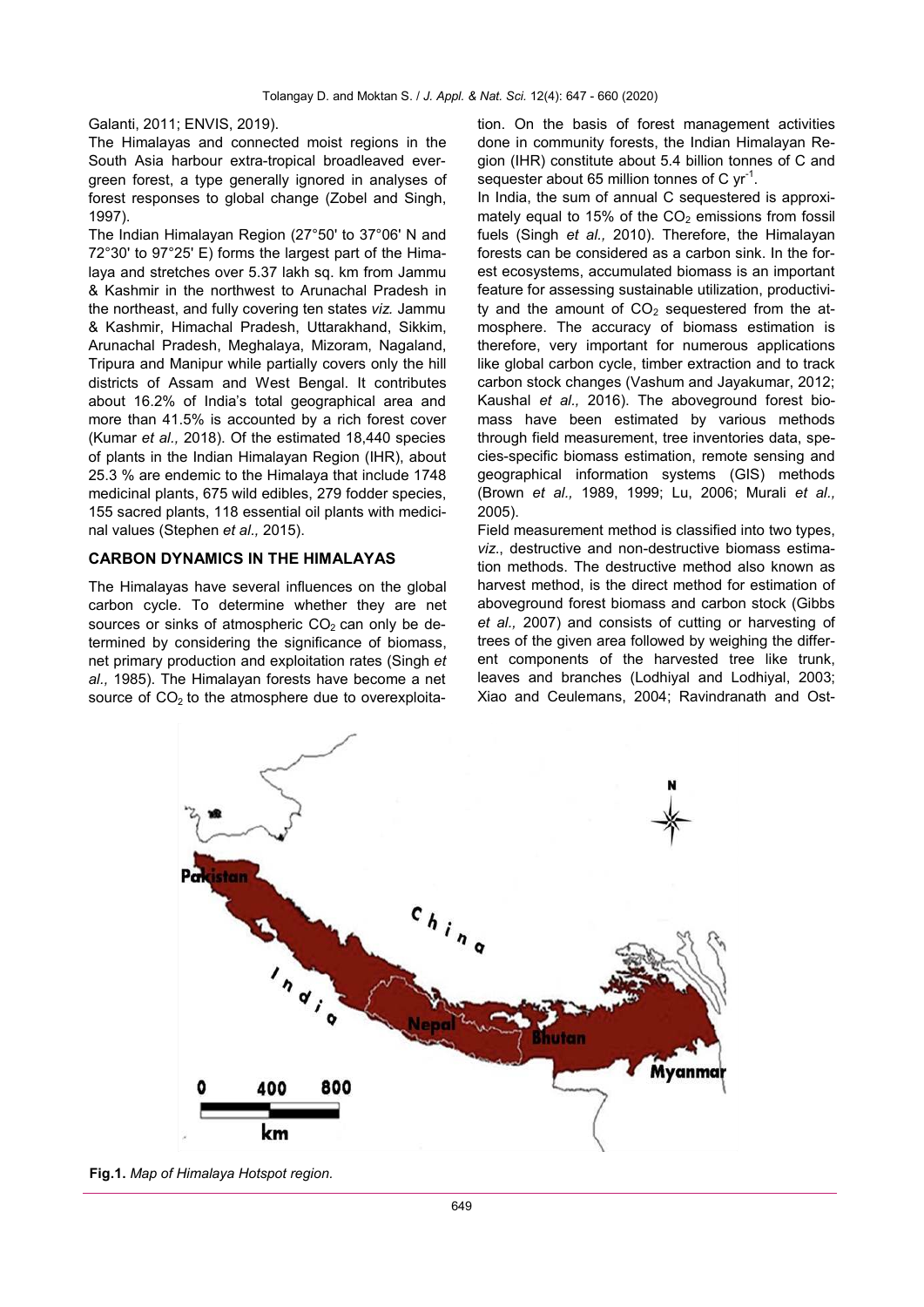Galanti, 2011; ENVIS, 2019).

The Himalayas and connected moist regions in the South Asia harbour extra-tropical broadleaved evergreen forest, a type generally ignored in analyses of forest responses to global change (Zobel and Singh, 1997).

The Indian Himalayan Region (27°50' to 37°06' N and 72°30' to 97°25' E) forms the largest part of the Himalaya and stretches over 5.37 lakh sq. km from Jammu & Kashmir in the northwest to Arunachal Pradesh in the northeast, and fully covering ten states *viz.* Jammu & Kashmir, Himachal Pradesh, Uttarakhand, Sikkim, Arunachal Pradesh, Meghalaya, Mizoram, Nagaland, Tripura and Manipur while partially covers only the hill districts of Assam and West Bengal. It contributes about 16.2% of India's total geographical area and more than 41.5% is accounted by a rich forest cover (Kumar *et al.,* 2018). Of the estimated 18,440 species of plants in the Indian Himalayan Region (IHR), about 25.3 % are endemic to the Himalaya that include 1748 medicinal plants, 675 wild edibles, 279 fodder species, 155 sacred plants, 118 essential oil plants with medicinal values (Stephen *et al.,* 2015).

#### **CARBON DYNAMICS IN THE HIMALAYAS**

The Himalayas have several influences on the global carbon cycle. To determine whether they are net sources or sinks of atmospheric  $CO<sub>2</sub>$  can only be determined by considering the significance of biomass, net primary production and exploitation rates (Singh *et al.,* 1985). The Himalayan forests have become a net source of  $CO<sub>2</sub>$  to the atmosphere due to overexploitation. On the basis of forest management activities done in community forests, the Indian Himalayan Region (IHR) constitute about 5.4 billion tonnes of C and sequester about 65 million tonnes of C  $yr^{-1}$ .

In India, the sum of annual C sequestered is approximately equal to 15% of the  $CO<sub>2</sub>$  emissions from fossil fuels (Singh *et al.,* 2010). Therefore, the Himalayan forests can be considered as a carbon sink. In the forest ecosystems, accumulated biomass is an important feature for assessing sustainable utilization, productivity and the amount of  $CO<sub>2</sub>$  sequestered from the atmosphere. The accuracy of biomass estimation is therefore, very important for numerous applications like global carbon cycle, timber extraction and to track carbon stock changes (Vashum and Jayakumar, 2012; Kaushal *et al.,* 2016). The aboveground forest biomass have been estimated by various methods through field measurement, tree inventories data, species-specific biomass estimation, remote sensing and geographical information systems (GIS) methods (Brown *et al.,* 1989, 1999; Lu, 2006; Murali *et al.,* 2005).

Field measurement method is classified into two types, *viz*., destructive and non-destructive biomass estimation methods. The destructive method also known as harvest method, is the direct method for estimation of aboveground forest biomass and carbon stock (Gibbs *et al.,* 2007) and consists of cutting or harvesting of trees of the given area followed by weighing the different components of the harvested tree like trunk, leaves and branches (Lodhiyal and Lodhiyal, 2003; Xiao and Ceulemans, 2004; Ravindranath and Ost-



**Fig.1.** *Map of Himalaya Hotspot region.*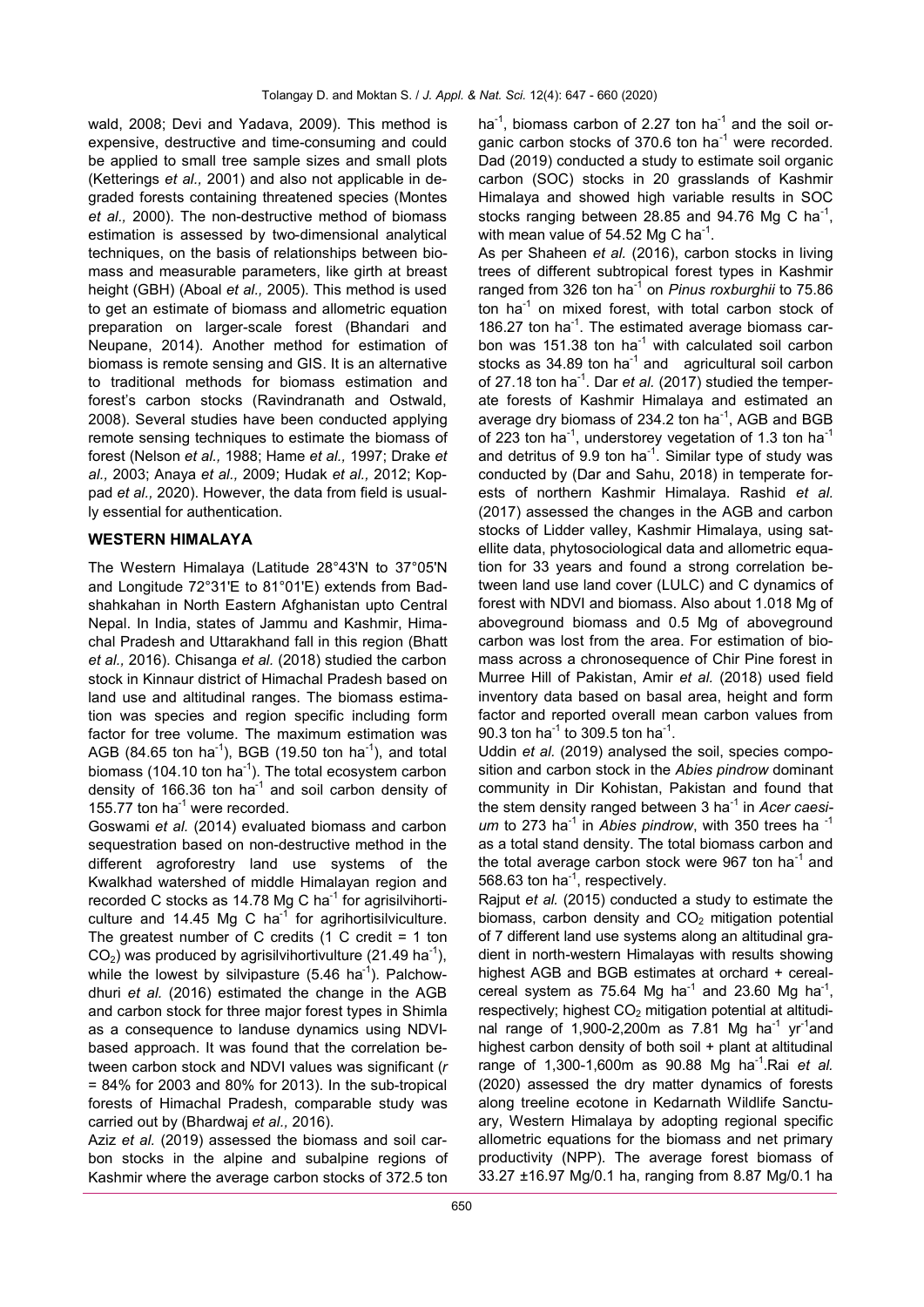wald, 2008; Devi and Yadava, 2009). This method is expensive, destructive and time-consuming and could be applied to small tree sample sizes and small plots (Ketterings *et al.,* 2001) and also not applicable in degraded forests containing threatened species (Montes *et al.,* 2000). The non-destructive method of biomass estimation is assessed by two-dimensional analytical techniques, on the basis of relationships between biomass and measurable parameters, like girth at breast height (GBH) (Aboal *et al.,* 2005). This method is used to get an estimate of biomass and allometric equation preparation on larger-scale forest (Bhandari and Neupane, 2014). Another method for estimation of biomass is remote sensing and GIS. It is an alternative to traditional methods for biomass estimation and forest's carbon stocks (Ravindranath and Ostwald, 2008). Several studies have been conducted applying remote sensing techniques to estimate the biomass of forest (Nelson *et al.,* 1988; Hame *et al.,* 1997; Drake *et al.,* 2003; Anaya *et al.,* 2009; Hudak *et al.,* 2012; Koppad *et al.,* 2020). However, the data from field is usually essential for authentication.

## **WESTERN HIMALAYA**

The Western Himalaya (Latitude 28°43'N to 37°05'N and Longitude 72°31'E to 81°01'E) extends from Badshahkahan in North Eastern Afghanistan upto Central Nepal. In India, states of Jammu and Kashmir, Himachal Pradesh and Uttarakhand fall in this region (Bhatt *et al.,* 2016). Chisanga *et al.* (2018) studied the carbon stock in Kinnaur district of Himachal Pradesh based on land use and altitudinal ranges. The biomass estimation was species and region specific including form factor for tree volume. The maximum estimation was AGB (84.65 ton ha<sup>-1</sup>), BGB (19.50 ton ha<sup>-1</sup>), and total biomass (104.10 ton ha<sup>-1</sup>). The total ecosystem carbon density of 166.36 ton  $ha^{-1}$  and soil carbon density of 155.77 ton ha<sup>-1</sup> were recorded.

Goswami *et al.* (2014) evaluated biomass and carbon sequestration based on non-destructive method in the different agroforestry land use systems of the Kwalkhad watershed of middle Himalayan region and recorded C stocks as 14.78 Mg C ha<sup>-1</sup> for agrisilvihorticulture and 14.45 Mg C ha<sup>-1</sup> for agrihortisilviculture. The greatest number of C credits (1 C credit = 1 ton  $CO<sub>2</sub>$ ) was produced by agrisilvihortivulture (21.49 ha<sup>-1</sup>), while the lowest by silvipasture  $(5.46 \text{ ha}^{-1})$ . Palchowdhuri *et al.* (2016) estimated the change in the AGB and carbon stock for three major forest types in Shimla as a consequence to landuse dynamics using NDVIbased approach. It was found that the correlation between carbon stock and NDVI values was significant (*r*   $= 84\%$  for 2003 and 80% for 2013). In the sub-tropical forests of Himachal Pradesh, comparable study was carried out by (Bhardwaj *et al.,* 2016).

Aziz *et al.* (2019) assessed the biomass and soil carbon stocks in the alpine and subalpine regions of Kashmir where the average carbon stocks of 372.5 ton

ha<sup>-1</sup>, biomass carbon of 2.27 ton ha<sup>-1</sup> and the soil organic carbon stocks of 370.6 ton ha<sup>-1</sup> were recorded. Dad (2019) conducted a study to estimate soil organic carbon (SOC) stocks in 20 grasslands of Kashmir Himalaya and showed high variable results in SOC stocks ranging between  $28.85$  and  $94.76$  Mg C ha<sup>-1</sup>, with mean value of 54.52 Mg C ha<sup>-1</sup>.

As per Shaheen *et al.* (2016), carbon stocks in living trees of different subtropical forest types in Kashmir ranged from 326 ton ha<sup>-1</sup> on *Pinus roxburghii* to 75.86 ton ha<sup>-1</sup> on mixed forest, with total carbon stock of 186.27 ton ha<sup>-1</sup>. The estimated average biomass carbon was 151.38 ton ha $^{-1}$  with calculated soil carbon stocks as  $34.89$  ton ha<sup>-1</sup> and agricultural soil carbon of 27.18 ton ha<sup>-1</sup>. Dar et al. (2017) studied the temperate forests of Kashmir Himalaya and estimated an average dry biomass of 234.2 ton ha<sup>-1</sup>, AGB and BGB of 223 ton ha<sup>-1</sup>, understorey vegetation of 1.3 ton ha<sup>-1</sup> and detritus of 9.9 ton ha<sup>-1</sup>. Similar type of study was conducted by (Dar and Sahu, 2018) in temperate forests of northern Kashmir Himalaya. Rashid *et al.* (2017) assessed the changes in the AGB and carbon stocks of Lidder valley, Kashmir Himalaya, using satellite data, phytosociological data and allometric equation for 33 years and found a strong correlation between land use land cover (LULC) and C dynamics of forest with NDVI and biomass. Also about 1.018 Mg of aboveground biomass and 0.5 Mg of aboveground carbon was lost from the area. For estimation of biomass across a chronosequence of Chir Pine forest in Murree Hill of Pakistan, Amir *et al.* (2018) used field inventory data based on basal area, height and form factor and reported overall mean carbon values from 90.3 ton ha<sup>-1</sup> to 309.5 ton ha<sup>-1</sup>.

Uddin *et al.* (2019) analysed the soil, species composition and carbon stock in the *Abies pindrow* dominant community in Dir Kohistan, Pakistan and found that the stem density ranged between 3 ha-<sup>1</sup> in *Acer caesi*um to 273 ha<sup>-1</sup> in Abies pindrow, with 350 trees ha<sup>-1</sup> as a total stand density. The total biomass carbon and the total average carbon stock were 967 ton ha<sup>-1</sup> and 568.63 ton ha<sup>-1</sup>, respectively.

Rajput *et al.* (2015) conducted a study to estimate the biomass, carbon density and  $CO<sub>2</sub>$  mitigation potential of 7 different land use systems along an altitudinal gradient in north-western Himalayas with results showing highest AGB and BGB estimates at orchard + cerealcereal system as 75.64 Mg ha<sup>-1</sup> and 23.60 Mg ha<sup>-1</sup>, respectively; highest  $CO<sub>2</sub>$  mitigation potential at altitudinal range of 1,900-2,200m as 7.81 Mg ha<sup>-1</sup> yr<sup>-1</sup>and highest carbon density of both soil + plant at altitudinal range of 1,300-1,600m as 90.88 Mg ha<sup>-1</sup>.Rai et al. (2020) assessed the dry matter dynamics of forests along treeline ecotone in Kedarnath Wildlife Sanctuary, Western Himalaya by adopting regional specific allometric equations for the biomass and net primary productivity (NPP). The average forest biomass of 33.27 ±16.97 Mg/0.1 ha, ranging from 8.87 Mg/0.1 ha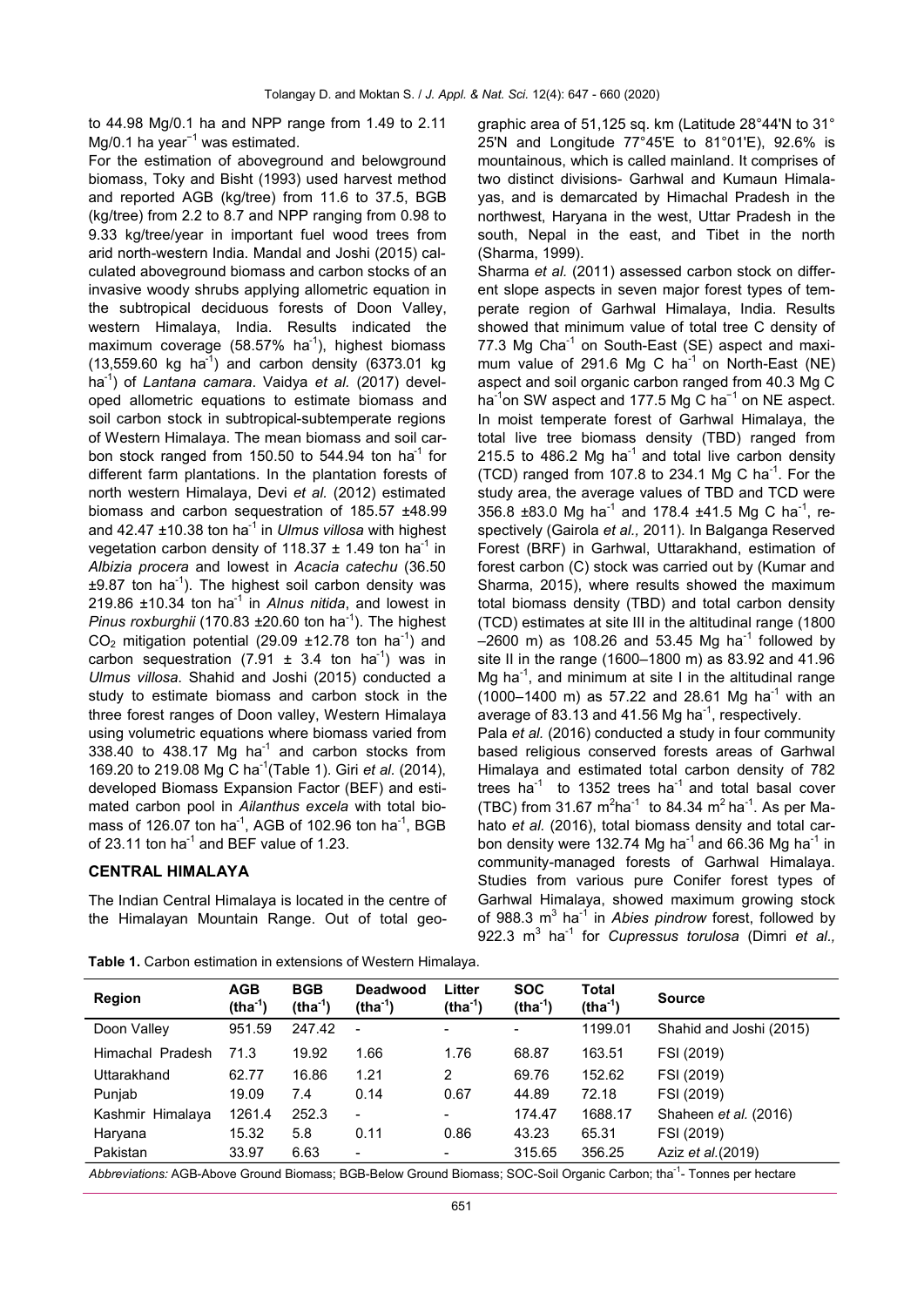to 44.98 Mg/0.1 ha and NPP range from 1.49 to 2.11 Mg/0.1 ha year<sup>-1</sup> was estimated.

For the estimation of aboveground and belowground biomass, Toky and Bisht (1993) used harvest method and reported AGB (kg/tree) from 11.6 to 37.5, BGB (kg/tree) from 2.2 to 8.7 and NPP ranging from 0.98 to 9.33 kg/tree/year in important fuel wood trees from arid north-western India. Mandal and Joshi (2015) calculated aboveground biomass and carbon stocks of an invasive woody shrubs applying allometric equation in the subtropical deciduous forests of Doon Valley, western Himalaya, India. Results indicated the maximum coverage (58.57% ha<sup>-1</sup>), highest biomass  $(13,559.60 \text{ kg} \text{ ha}^{-1})$  and carbon density  $(6373.01 \text{ kg} \text{ m})$ ha-<sup>1</sup> ) of *Lantana camara*. Vaidya *et al.* (2017) developed allometric equations to estimate biomass and soil carbon stock in subtropical-subtemperate regions of Western Himalaya. The mean biomass and soil carbon stock ranged from 150.50 to 544.94 ton ha<sup>-1</sup> for different farm plantations. In the plantation forests of north western Himalaya, Devi *et al.* (2012) estimated biomass and carbon sequestration of 185.57 ±48.99 and 42.47 ±10.38 ton ha<sup>-1</sup> in *Ulmus villosa* with highest vegetation carbon density of 118.37  $\pm$  1.49 ton ha<sup>-1</sup> in *Albizia procera* and lowest in *Acacia catechu* (36.50  $\pm$ 9.87 ton ha<sup>-1</sup>). The highest soil carbon density was  $219.86 \pm 10.34$  ton ha<sup>-1</sup> in *Alnus nitida*, and lowest in Pinus roxburghii (170.83 ±20.60 ton ha<sup>-1</sup>). The highest  $CO<sub>2</sub>$  mitigation potential (29.09 ±12.78 ton ha<sup>-1</sup>) and carbon sequestration  $(7.91 \pm 3.4 \text{ ton ha}^1)$  was in *Ulmus villosa*. Shahid and Joshi (2015) conducted a study to estimate biomass and carbon stock in the three forest ranges of Doon valley, Western Himalaya using volumetric equations where biomass varied from  $338.40$  to  $438.17$  Mg ha<sup>-1</sup> and carbon stocks from 169.20 to 219.08 Mg C ha-<sup>1</sup> (Table 1). Giri *et al.* (2014), developed Biomass Expansion Factor (BEF) and estimated carbon pool in *Ailanthus excela* with total biomass of 126.07 ton ha<sup>-1</sup>, AGB of 102.96 ton ha<sup>-1</sup>, BGB of 23.11 ton ha $^{-1}$  and BEF value of 1.23.

## **CENTRAL HIMALAYA**

The Indian Central Himalaya is located in the centre of the Himalayan Mountain Range. Out of total geographic area of 51,125 sq. km (Latitude 28°44'N to 31° 25'N and Longitude 77°45'E to 81°01'E), 92.6% is mountainous, which is called mainland. It comprises of two distinct divisions- Garhwal and Kumaun Himalayas, and is demarcated by Himachal Pradesh in the northwest, Haryana in the west, Uttar Pradesh in the south, Nepal in the east, and Tibet in the north (Sharma, 1999).

Sharma *et al.* (2011) assessed carbon stock on different slope aspects in seven major forest types of temperate region of Garhwal Himalaya, India. Results showed that minimum value of total tree C density of 77.3 Mg Cha<sup>-1</sup> on South-East (SE) aspect and maximum value of 291.6 Mg C ha<sup>-1</sup> on North-East (NE) aspect and soil organic carbon ranged from 40.3 Mg C ha<sup>-1</sup>on SW aspect and 177.5 Mg C ha<sup>-1</sup> on NE aspect. In moist temperate forest of Garhwal Himalaya, the total live tree biomass density (TBD) ranged from 215.5 to 486.2 Mg ha<sup>-1</sup> and total live carbon density  $(TCD)$  ranged from 107.8 to 234.1 Mg C ha<sup>-1</sup>. For the study area, the average values of TBD and TCD were 356.8 ±83.0 Mg ha<sup>-1</sup> and 178.4 ±41.5 Mg C ha<sup>-1</sup>, respectively (Gairola *et al.,* 2011). In Balganga Reserved Forest (BRF) in Garhwal, Uttarakhand, estimation of forest carbon (C) stock was carried out by (Kumar and Sharma, 2015), where results showed the maximum total biomass density (TBD) and total carbon density (TCD) estimates at site III in the altitudinal range (1800  $-2600$  m) as 108.26 and 53.45 Mg ha<sup>-1</sup> followed by site II in the range (1600–1800 m) as 83.92 and 41.96 Mg ha<sup>-1</sup>, and minimum at site I in the altitudinal range  $(1000-1400 \text{ m})$  as 57.22 and 28.61 Mg ha<sup>-1</sup> with an average of 83.13 and 41.56 Mg ha $^{-1}$ , respectively.

Pala *et al.* (2016) conducted a study in four community based religious conserved forests areas of Garhwal Himalaya and estimated total carbon density of 782 trees  $ha^{-1}$  to 1352 trees ha<sup>-1</sup> and total basal cover (TBC) from 31.67  $m^2$ ha<sup>-1</sup> to 84.34 m<sup>2</sup> ha<sup>-1</sup>. As per Mahato *et al.* (2016), total biomass density and total carbon density were 132.74 Mg ha<sup>-1</sup> and 66.36 Mg ha<sup>-1</sup> in community-managed forests of Garhwal Himalaya. Studies from various pure Conifer forest types of Garhwal Himalaya, showed maximum growing stock of 988.3 m<sup>3</sup> ha<sup>-1</sup> in *Abies pindrow* forest, followed by 922.3 m<sup>3</sup> ha-<sup>1</sup> for *Cupressus torulosa* (Dimri *et al.,*

| <b>AGB</b><br>$(tha-1)$ | <b>BGB</b><br>$(tha-1)$ | <b>Deadwood</b><br>$(tha-1)$ | Litter<br>$(tha-1)$ | <b>SOC</b><br>$(tha-1)$  | Total<br>$(tha-1)$ | <b>Source</b>                |
|-------------------------|-------------------------|------------------------------|---------------------|--------------------------|--------------------|------------------------------|
| 951.59                  | 247.42                  |                              |                     | $\overline{\phantom{0}}$ | 1199.01            | Shahid and Joshi (2015)      |
| 71.3                    | 19.92                   | 1.66                         | 1.76                | 68.87                    | 163.51             | FSI (2019)                   |
| 62.77                   | 16.86                   | 1.21                         | 2                   | 69.76                    | 152.62             | FSI (2019)                   |
| 19.09                   | 7.4                     | 0.14                         | 0.67                | 44.89                    | 72.18              | FSI (2019)                   |
| 1261.4                  | 252.3                   | $\overline{\phantom{0}}$     |                     | 174.47                   | 1688.17            | Shaheen <i>et al.</i> (2016) |
| 15.32                   | 5.8                     | 0.11                         | 0.86                | 43.23                    | 65.31              | FSI (2019)                   |
| 33.97                   | 6.63                    | $\overline{\phantom{0}}$     | ۰.                  | 315.65                   | 356.25             | Aziz <i>et al.</i> (2019)    |
|                         |                         |                              |                     |                          |                    |                              |

**Table 1.** Carbon estimation in extensions of Western Himalaya.

Abbreviations: AGB-Above Ground Biomass; BGB-Below Ground Biomass; SOC-Soil Organic Carbon; tha<sup>-1</sup>- Tonnes per hectare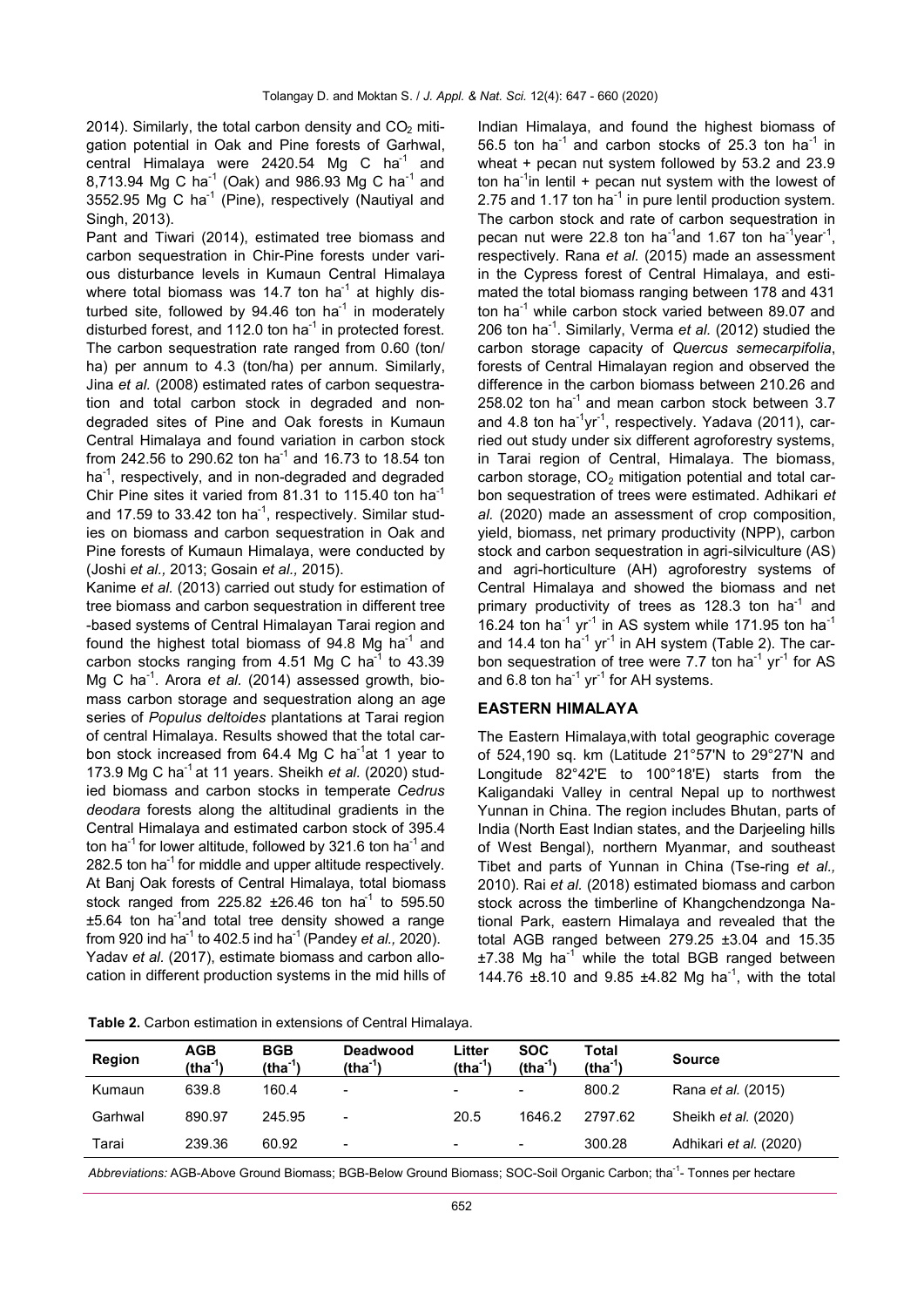2014). Similarly, the total carbon density and  $CO<sub>2</sub>$  mitigation potential in Oak and Pine forests of Garhwal, central Himalaya were 2420.54 Mg C ha<sup>-1</sup> and 8,713.94 Mg C ha<sup>-1</sup> (Oak) and 986.93 Mg C ha<sup>-1</sup> and 3552.95 Mg C ha<sup>-1</sup> (Pine), respectively (Nautiyal and Singh, 2013).

Pant and Tiwari (2014), estimated tree biomass and carbon sequestration in Chir-Pine forests under various disturbance levels in Kumaun Central Himalaya where total biomass was 14.7 ton ha $^{-1}$  at highly disturbed site, followed by  $94.46$  ton ha $^{-1}$  in moderately disturbed forest, and  $112.0$  ton ha<sup>-1</sup> in protected forest. The carbon sequestration rate ranged from 0.60 (ton/ ha) per annum to 4.3 (ton/ha) per annum. Similarly, Jina *et al.* (2008) estimated rates of carbon sequestration and total carbon stock in degraded and nondegraded sites of Pine and Oak forests in Kumaun Central Himalaya and found variation in carbon stock from 242.56 to 290.62 ton ha<sup>-1</sup> and 16.73 to 18.54 ton ha<sup>-1</sup>, respectively, and in non-degraded and degraded Chir Pine sites it varied from 81.31 to 115.40 ton ha<sup>-1</sup> and 17.59 to 33.42 ton ha<sup>-1</sup>, respectively. Similar studies on biomass and carbon sequestration in Oak and Pine forests of Kumaun Himalaya, were conducted by (Joshi *et al.,* 2013; Gosain *et al.,* 2015).

Kanime *et al.* (2013) carried out study for estimation of tree biomass and carbon sequestration in different tree -based systems of Central Himalayan Tarai region and found the highest total biomass of 94.8 Mg ha<sup>-1</sup> and carbon stocks ranging from 4.51 Mg C ha $^{-1}$  to 43.39 Mg C ha<sup>-1</sup>. Arora et al. (2014) assessed growth, biomass carbon storage and sequestration along an age series of *Populus deltoides* plantations at Tarai region of central Himalaya. Results showed that the total carbon stock increased from 64.4 Mg C ha<sup>-1</sup>at 1 year to 173.9 Mg C ha<sup>-1</sup> at 11 years. Sheikh *et al.* (2020) studied biomass and carbon stocks in temperate *Cedrus deodara* forests along the altitudinal gradients in the Central Himalaya and estimated carbon stock of 395.4 ton ha<sup>-1</sup> for lower altitude, followed by 321.6 ton ha<sup>-1</sup> and 282.5 ton ha<sup>-1</sup> for middle and upper altitude respectively. At Banj Oak forests of Central Himalaya, total biomass stock ranged from 225.82  $\pm 26.46$  ton ha<sup>1</sup> to 595.50 ±5.64 ton ha<sup>-1</sup>and total tree density showed a range from 920 ind ha-<sup>1</sup> to 402.5 ind ha-<sup>1</sup>(Pandey *et al.,* 2020). Yadav *et al.* (2017), estimate biomass and carbon allocation in different production systems in the mid hills of Indian Himalaya, and found the highest biomass of 56.5 ton ha<sup>-1</sup> and carbon stocks of 25.3 ton ha<sup>-1</sup> in wheat + pecan nut system followed by 53.2 and 23.9 ton ha<sup>-1</sup>in lentil + pecan nut system with the lowest of 2.75 and 1.17 ton ha $^{-1}$  in pure lentil production system. The carbon stock and rate of carbon sequestration in pecan nut were 22.8 ton ha<sup>-1</sup>and 1.67 ton ha<sup>-1</sup>year<sup>-1</sup>, respectively. Rana *et al.* (2015) made an assessment in the Cypress forest of Central Himalaya, and estimated the total biomass ranging between 178 and 431 ton ha-<sup>1</sup> while carbon stock varied between 89.07 and 206 ton ha-<sup>1</sup> . Similarly, Verma *et al.* (2012) studied the carbon storage capacity of *Quercus semecarpifolia*, forests of Central Himalayan region and observed the difference in the carbon biomass between 210.26 and 258.02 ton ha<sup>-1</sup> and mean carbon stock between  $3.7$ and 4.8 ton ha<sup>-1</sup>yr<sup>-1</sup>, respectively. Yadava (2011), carried out study under six different agroforestry systems, in Tarai region of Central, Himalaya. The biomass, carbon storage,  $CO<sub>2</sub>$  mitigation potential and total carbon sequestration of trees were estimated. Adhikari *et al.* (2020) made an assessment of crop composition, yield, biomass, net primary productivity (NPP), carbon stock and carbon sequestration in agri-silviculture (AS) and agri-horticulture (AH) agroforestry systems of Central Himalaya and showed the biomass and net primary productivity of trees as 128.3 ton  $ha^{-1}$  and 16.24 ton ha $^{-1}$  yr $^{-1}$  in AS system while 171.95 ton ha $^{-1}$ and 14.4 ton ha<sup>-1</sup> yr<sup>-1</sup> in AH system (Table 2). The carbon sequestration of tree were 7.7 ton ha<sup>-1</sup> yr<sup>-1</sup> for AS and 6.8 ton ha<sup>-1</sup> yr<sup>-1</sup> for AH systems.

## **EASTERN HIMALAYA**

The Eastern Himalaya,with total geographic coverage of 524,190 sq. km (Latitude 21°57'N to 29°27'N and Longitude 82°42'E to 100°18'E) starts from the Kaligandaki Valley in central Nepal up to northwest Yunnan in China. The region includes Bhutan, parts of India (North East Indian states, and the Darjeeling hills of West Bengal), northern Myanmar, and southeast Tibet and parts of Yunnan in China (Tse-ring *et al.,* 2010). Rai *et al.* (2018) estimated biomass and carbon stock across the timberline of Khangchendzonga National Park, eastern Himalaya and revealed that the total AGB ranged between 279.25 ±3.04 and 15.35  $\pm$ 7.38 Mg ha<sup>-1</sup> while the total BGB ranged between 144.76 ±8.10 and 9.85 ±4.82 Mg ha-<sup>1</sup> , with the total

**Table 2.** Carbon estimation in extensions of Central Himalaya.

| <b>Region</b> | <b>AGB</b><br>$(tha-1)$ | <b>BGB</b><br>$(tha-1)$ | <b>Deadwood</b><br>$(tha-1)$ | Litter<br>$(tha-1)$ | <b>SOC</b><br>$(tha-1)$ | Total<br>$(tha-1)$ | <b>Source</b>               |
|---------------|-------------------------|-------------------------|------------------------------|---------------------|-------------------------|--------------------|-----------------------------|
| Kumaun        | 639.8                   | 160.4                   | $\overline{\phantom{a}}$     | $\blacksquare$      | $\blacksquare$          | 800.2              | Rana <i>et al.</i> (2015)   |
| Garhwal       | 890.97                  | 245.95                  | $\overline{\phantom{a}}$     | 20.5                | 1646.2                  | 2797.62            | Sheikh <i>et al.</i> (2020) |
| Tarai         | 239.36                  | 60.92                   | $\,$                         | $\blacksquare$      | $\blacksquare$          | 300.28             | Adhikari et al. (2020)      |

Abbreviations: AGB-Above Ground Biomass; BGB-Below Ground Biomass; SOC-Soil Organic Carbon; tha<sup>-1</sup>- Tonnes per hectare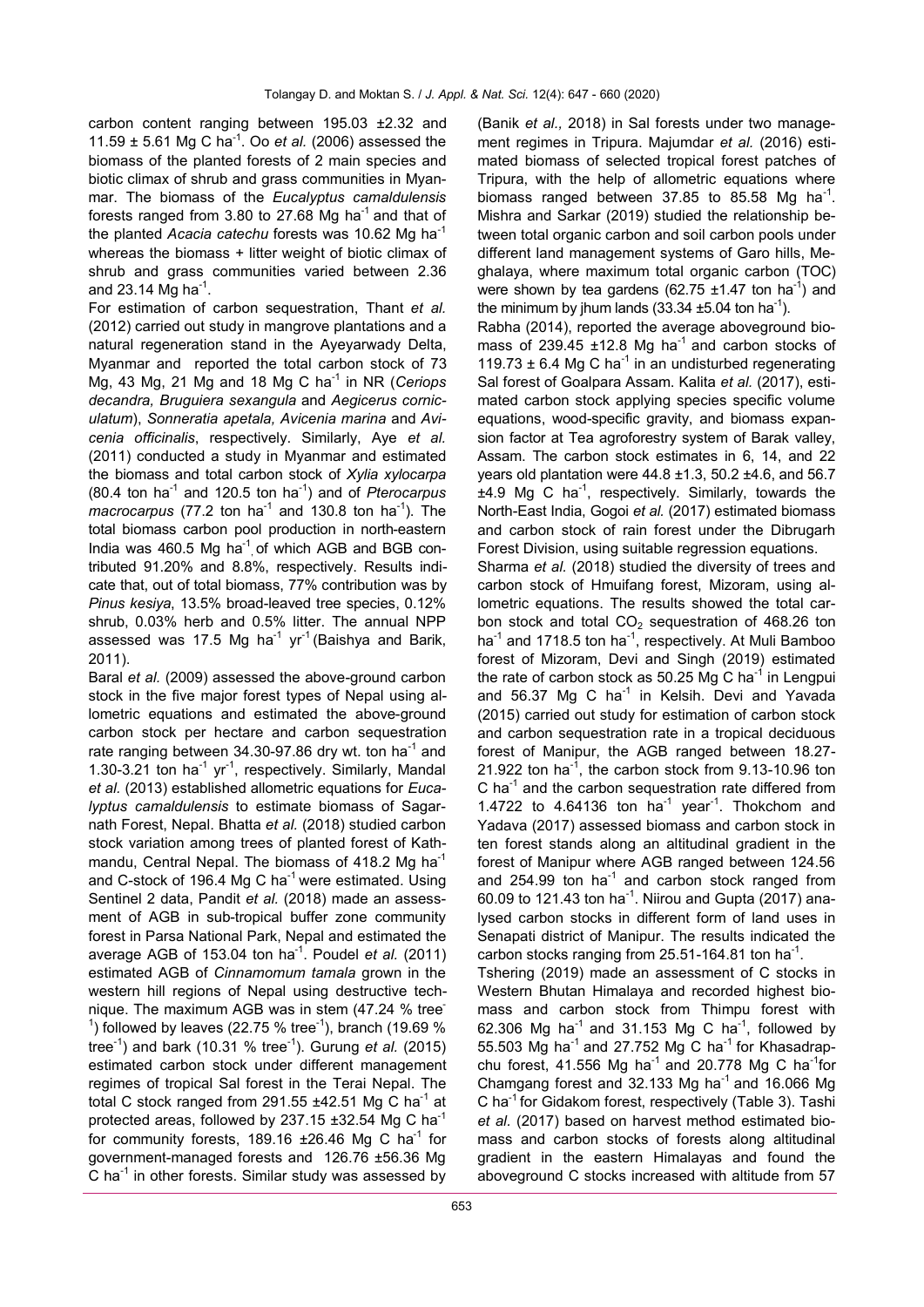carbon content ranging between 195.03 ±2.32 and 11.59 ± 5.61 Mg C ha-<sup>1</sup> . Oo *et al.* (2006) assessed the biomass of the planted forests of 2 main species and biotic climax of shrub and grass communities in Myanmar. The biomass of the *Eucalyptus camaldulensis* forests ranged from 3.80 to 27.68 Mg ha<sup>-1</sup> and that of the planted *Acacia catechu* forests was 10.62 Mg ha-<sup>1</sup> whereas the biomass + litter weight of biotic climax of shrub and grass communities varied between 2.36 and 23.14  $\text{Mg}$  ha<sup>-1</sup>.

For estimation of carbon sequestration, Thant *et al.* (2012) carried out study in mangrove plantations and a natural regeneration stand in the Ayeyarwady Delta, Myanmar and reported the total carbon stock of 73 Mg, 43 Mg, 21 Mg and 18 Mg C ha-<sup>1</sup> in NR (*Ceriops decandra, Bruguiera sexangula* and *Aegicerus corniculatum*), *Sonneratia apetala, Avicenia marina* and *Avicenia officinalis*, respectively. Similarly, Aye *et al.*  (2011) conducted a study in Myanmar and estimated the biomass and total carbon stock of *Xylia xylocarpa* (80.4 ton ha-<sup>1</sup> and 120.5 ton ha-<sup>1</sup> ) and of *Pterocarpus*   $m$ acrocarpus (77.2 ton ha<sup>-1</sup> and 130.8 ton ha<sup>-1</sup>). The total biomass carbon pool production in north-eastern India was  $460.5$  Mg ha<sup>-1</sup> of which AGB and BGB contributed 91.20% and 8.8%, respectively. Results indicate that, out of total biomass, 77% contribution was by *Pinus kesiya*, 13.5% broad-leaved tree species, 0.12% shrub, 0.03% herb and 0.5% litter. The annual NPP assessed was 17.5 Mg ha<sup>-1</sup> yr<sup>-1</sup> (Baishya and Barik, 2011).

Baral *et al.* (2009) assessed the above-ground carbon stock in the five major forest types of Nepal using allometric equations and estimated the above-ground carbon stock per hectare and carbon sequestration rate ranging between 34.30-97.86 dry wt. ton ha<sup>-1</sup> and 1.30-3.21 ton ha<sup>-1</sup> yr<sup>-1</sup>, respectively. Similarly, Mandal *et al.* (2013) established allometric equations for *Eucalyptus camaldulensis* to estimate biomass of Sagarnath Forest, Nepal. Bhatta *et al.* (2018) studied carbon stock variation among trees of planted forest of Kathmandu, Central Nepal. The biomass of 418.2 Mg ha<sup>-1</sup> and C-stock of 196.4 Mg C ha<sup>-1</sup> were estimated. Using Sentinel 2 data, Pandit *et al.* (2018) made an assessment of AGB in sub-tropical buffer zone community forest in Parsa National Park, Nepal and estimated the average AGB of 153.04 ton ha<sup>-1</sup>. Poudel *et al.* (2011) estimated AGB of *Cinnamomum tamala* grown in the western hill regions of Nepal using destructive technique. The maximum AGB was in stem (47.24 % tree- $^1$ ) followed by leaves (22.75 % tree<sup>-1</sup>), branch (19.69 % tree-<sup>1</sup> ) and bark (10.31 % tree-<sup>1</sup> ). Gurung *et al.* (2015) estimated carbon stock under different management regimes of tropical Sal forest in the Terai Nepal. The total C stock ranged from 291.55  $\pm$ 42.51 Mg C ha<sup>-1</sup> at protected areas, followed by 237.15  $\pm$ 32.54 Mg C ha<sup>-1</sup> for community forests, 189.16  $\pm$ 26.46 Mg C ha<sup>-1</sup> for government-managed forests and 126.76 ±56.36 Mg  $\overline{C}$  ha<sup>-1</sup> in other forests. Similar study was assessed by

(Banik *et al.,* 2018) in Sal forests under two management regimes in Tripura. Majumdar *et al.* (2016) estimated biomass of selected tropical forest patches of Tripura, with the help of allometric equations where biomass ranged between  $37.85$  to  $85.58$  Mg ha<sup>-1</sup>. Mishra and Sarkar (2019) studied the relationship between total organic carbon and soil carbon pools under different land management systems of Garo hills, Meghalaya, where maximum total organic carbon (TOC) were shown by tea gardens  $(62.75 \pm 1.47 \text{ ton ha}^{-1})$  and the minimum by jhum lands  $(33.34 \pm 5.04 \text{ ton ha}^{-1})$ .

Rabha (2014), reported the average aboveground biomass of 239.45  $\pm$ 12.8 Mg ha<sup>-1</sup> and carbon stocks of 119.73  $\pm$  6.4 Mg C ha<sup>-1</sup> in an undisturbed regenerating Sal forest of Goalpara Assam. Kalita *et al.* (2017), estimated carbon stock applying species specific volume equations, wood-specific gravity, and biomass expansion factor at Tea agroforestry system of Barak valley, Assam. The carbon stock estimates in 6, 14, and 22 years old plantation were 44.8 ±1.3, 50.2 ±4.6, and 56.7  $±4.9$  Mg C ha<sup>-1</sup>, respectively. Similarly, towards the North-East India, Gogoi *et al.* (2017) estimated biomass and carbon stock of rain forest under the Dibrugarh Forest Division, using suitable regression equations.

Sharma *et al.* (2018) studied the diversity of trees and carbon stock of Hmuifang forest, Mizoram, using allometric equations. The results showed the total carbon stock and total  $CO<sub>2</sub>$  sequestration of 468.26 ton ha<sup>-1</sup> and 1718.5 ton ha<sup>-1</sup>, respectively. At Muli Bamboo forest of Mizoram, Devi and Singh (2019) estimated the rate of carbon stock as 50.25 Mg C ha<sup>-1</sup> in Lengpui and 56.37 Mg C ha<sup>-1</sup> in Kelsih. Devi and Yavada (2015) carried out study for estimation of carbon stock and carbon sequestration rate in a tropical deciduous forest of Manipur, the AGB ranged between 18.27- 21.922 ton ha<sup>-1</sup>, the carbon stock from  $9.13$ -10.96 ton  $C$  ha<sup>-1</sup> and the carbon sequestration rate differed from 1.4722 to  $4.64136$  ton ha<sup>-1</sup> year<sup>-1</sup>. Thokchom and Yadava (2017) assessed biomass and carbon stock in ten forest stands along an altitudinal gradient in the forest of Manipur where AGB ranged between 124.56 and  $254.99$  ton ha<sup>-1</sup> and carbon stock ranged from 60.09 to 121.43 ton ha<sup>-1</sup>. Niirou and Gupta (2017) analysed carbon stocks in different form of land uses in Senapati district of Manipur. The results indicated the carbon stocks ranging from  $25.51$ -164.81 ton ha<sup>-1</sup>.

Tshering (2019) made an assessment of C stocks in Western Bhutan Himalaya and recorded highest biomass and carbon stock from Thimpu forest with 62.306 Mg ha<sup>-1</sup> and 31.153 Mg C ha<sup>-1</sup>, followed by 55.503 Mg ha<sup>-1</sup> and 27.752 Mg C ha<sup>-1</sup> for Khasadrapchu forest, 41.556 Mg ha<sup>-1</sup> and 20.778 Mg C ha<sup>-1</sup>for Chamgang forest and 32.133 Mg ha<sup>-1</sup> and 16.066 Mg C ha<sup>-1</sup> for Gidakom forest, respectively (Table 3). Tashi *et al.* (2017) based on harvest method estimated biomass and carbon stocks of forests along altitudinal gradient in the eastern Himalayas and found the aboveground C stocks increased with altitude from 57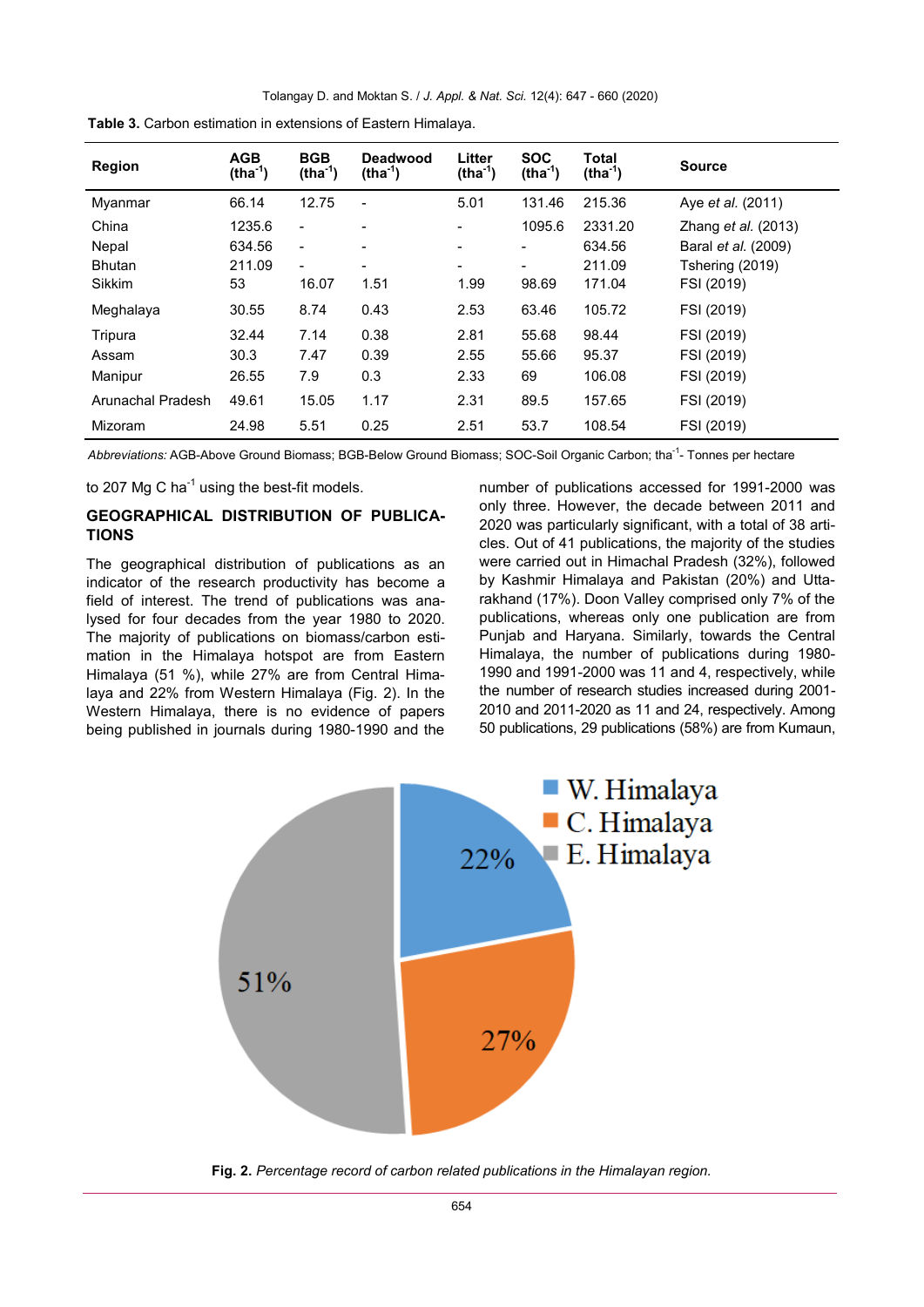| <b>Region</b>     | <b>AGB</b><br>$(tha-1)$ | <b>BGB</b><br>$(tha-1)$  | Deadwood<br>$(tha-1)$        | Litter<br>$(tha-1)$      | <b>SOC</b><br>$(tha-1)$  | Total<br>$(tha-1)$ | <b>Source</b>              |
|-------------------|-------------------------|--------------------------|------------------------------|--------------------------|--------------------------|--------------------|----------------------------|
| Myanmar           | 66.14                   | 12.75                    | $\overline{\phantom{a}}$     | 5.01                     | 131.46                   | 215.36             | Aye <i>et al.</i> (2011)   |
| China             | 1235.6                  | $\overline{\phantom{0}}$ | $\qquad \qquad \blacksquare$ | $\overline{\phantom{0}}$ | 1095.6                   | 2331.20            | Zhang <i>et al.</i> (2013) |
| Nepal             | 634.56                  | $\blacksquare$           | $\qquad \qquad \blacksquare$ | $\overline{\phantom{0}}$ | $\overline{a}$           | 634.56             | Baral <i>et al.</i> (2009) |
| <b>Bhutan</b>     | 211.09                  | $\overline{\phantom{a}}$ | $\blacksquare$               | $\overline{\phantom{0}}$ | $\overline{\phantom{a}}$ | 211.09             | Tshering (2019)            |
| Sikkim            | 53                      | 16.07                    | 1.51                         | 1.99                     | 98.69                    | 171.04             | FSI (2019)                 |
| Meghalaya         | 30.55                   | 8.74                     | 0.43                         | 2.53                     | 63.46                    | 105.72             | FSI (2019)                 |
| Tripura           | 32.44                   | 7.14                     | 0.38                         | 2.81                     | 55.68                    | 98.44              | FSI (2019)                 |
| Assam             | 30.3                    | 7.47                     | 0.39                         | 2.55                     | 55.66                    | 95.37              | FSI (2019)                 |
| Manipur           | 26.55                   | 7.9                      | 0.3                          | 2.33                     | 69                       | 106.08             | FSI (2019)                 |
| Arunachal Pradesh | 49.61                   | 15.05                    | 1.17                         | 2.31                     | 89.5                     | 157.65             | FSI (2019)                 |
| Mizoram           | 24.98                   | 5.51                     | 0.25                         | 2.51                     | 53.7                     | 108.54             | FSI (2019)                 |

**Table 3.** Carbon estimation in extensions of Eastern Himalaya.

Abbreviations: AGB-Above Ground Biomass; BGB-Below Ground Biomass; SOC-Soil Organic Carbon; tha<sup>-1</sup>- Tonnes per hectare

to 207 Mg C ha $^{\text{-1}}$  using the best-fit models.

# **GEOGRAPHICAL DISTRIBUTION OF PUBLICA-TIONS**

The geographical distribution of publications as an indicator of the research productivity has become a field of interest. The trend of publications was analysed for four decades from the year 1980 to 2020. The majority of publications on biomass/carbon estimation in the Himalaya hotspot are from Eastern Himalaya (51 %), while 27% are from Central Himalaya and 22% from Western Himalaya (Fig. 2). In the Western Himalaya, there is no evidence of papers being published in journals during 1980-1990 and the

number of publications accessed for 1991-2000 was only three. However, the decade between 2011 and 2020 was particularly significant, with a total of 38 articles. Out of 41 publications, the majority of the studies were carried out in Himachal Pradesh (32%), followed by Kashmir Himalaya and Pakistan (20%) and Uttarakhand (17%). Doon Valley comprised only 7% of the publications, whereas only one publication are from Punjab and Haryana. Similarly, towards the Central Himalaya, the number of publications during 1980- 1990 and 1991-2000 was 11 and 4, respectively, while the number of research studies increased during 2001- 2010 and 2011-2020 as 11 and 24, respectively. Among 50 publications, 29 publications (58%) are from Kumaun,



**Fig. 2.** *Percentage record of carbon related publications in the Himalayan region.*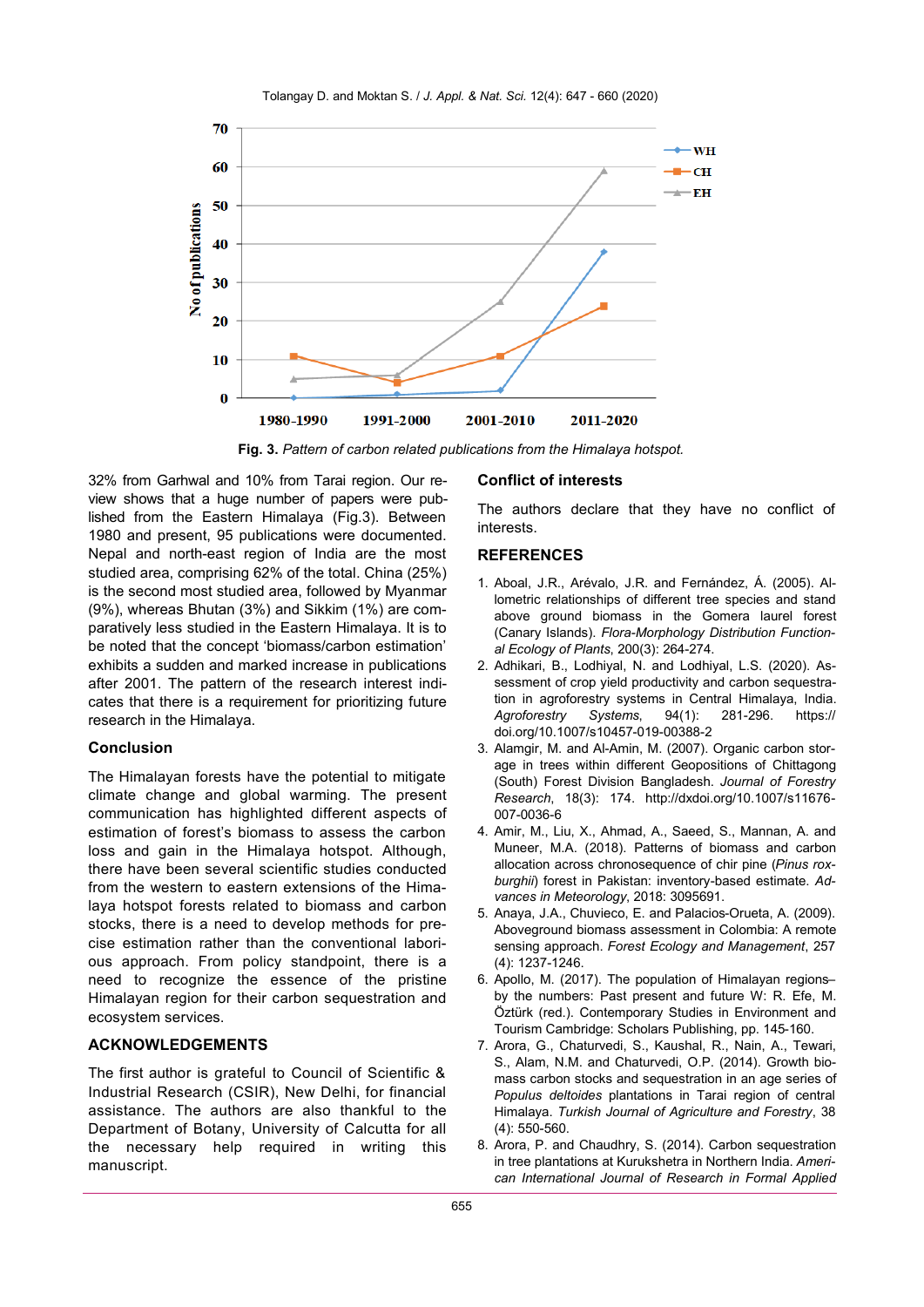Tolangay D. and Moktan S. / *J. Appl. & Nat. Sci.* 12(4): 647 - 660 (2020)



**Fig. 3.** *Pattern of carbon related publications from the Himalaya hotspot.*

32% from Garhwal and 10% from Tarai region. Our review shows that a huge number of papers were published from the Eastern Himalaya (Fig.3). Between 1980 and present, 95 publications were documented. Nepal and north-east region of India are the most studied area, comprising 62% of the total. China (25%) is the second most studied area, followed by Myanmar (9%), whereas Bhutan (3%) and Sikkim (1%) are comparatively less studied in the Eastern Himalaya. It is to be noted that the concept 'biomass/carbon estimation' exhibits a sudden and marked increase in publications after 2001. The pattern of the research interest indicates that there is a requirement for prioritizing future research in the Himalaya.

## **Conclusion**

The Himalayan forests have the potential to mitigate climate change and global warming. The present communication has highlighted different aspects of estimation of forest's biomass to assess the carbon loss and gain in the Himalaya hotspot. Although, there have been several scientific studies conducted from the western to eastern extensions of the Himalaya hotspot forests related to biomass and carbon stocks, there is a need to develop methods for precise estimation rather than the conventional laborious approach. From policy standpoint, there is a need to recognize the essence of the pristine Himalayan region for their carbon sequestration and ecosystem services.

# **ACKNOWLEDGEMENTS**

The first author is grateful to Council of Scientific & Industrial Research (CSIR), New Delhi, for financial assistance. The authors are also thankful to the Department of Botany, University of Calcutta for all the necessary help required in writing this manuscript.

## **Conflict of interests**

The authors declare that they have no conflict of interests.

## **REFERENCES**

- 1. Aboal, J.R., Arévalo, J.R. and Fernández, Á. (2005). Allometric relationships of different tree species and stand above ground biomass in the Gomera laurel forest (Canary Islands). *Flora-Morphology Distribution Functional Ecology of Plants*, 200(3): 264-274.
- 2. Adhikari, B., Lodhiyal, N. and Lodhiyal, L.S. (2020). Assessment of crop yield productivity and carbon sequestration in agroforestry systems in Central Himalaya, India. *Agroforestry Systems*, 94(1): 281-296. https:// doi.org/10.1007/s10457-019-00388-2
- 3. Alamgir, M. and Al-Amin, M. (2007). Organic carbon storage in trees within different Geopositions of Chittagong (South) Forest Division Bangladesh. *Journal of Forestry Research*, 18(3): 174. http://dxdoi.org/10.1007/s11676- 007-0036-6
- 4. Amir, M., Liu, X., Ahmad, A., Saeed, S., Mannan, A. and Muneer, M.A. (2018). Patterns of biomass and carbon allocation across chronosequence of chir pine (*Pinus roxburghii*) forest in Pakistan: inventory-based estimate. *Advances in Meteorology*, 2018: 3095691.
- 5. Anaya, J.A., Chuvieco, E. and Palacios-Orueta, A. (2009). Aboveground biomass assessment in Colombia: A remote sensing approach. *Forest Ecology and Management*, 257 (4): 1237-1246.
- 6. Apollo, M. (2017). The population of Himalayan regions– by the numbers: Past present and future W: R. Efe, M. Öztürk (red.). Contemporary Studies in Environment and Tourism Cambridge: Scholars Publishing, pp. 145-160.
- 7. Arora, G., Chaturvedi, S., Kaushal, R., Nain, A., Tewari, S., Alam, N.M. and Chaturvedi, O.P. (2014). Growth biomass carbon stocks and sequestration in an age series of *Populus deltoides* plantations in Tarai region of central Himalaya. *Turkish Journal of Agriculture and Forestry*, 38 (4): 550-560.
- 8. Arora, P. and Chaudhry, S. (2014). Carbon sequestration in tree plantations at Kurukshetra in Northern India. *American International Journal of Research in Formal Applied*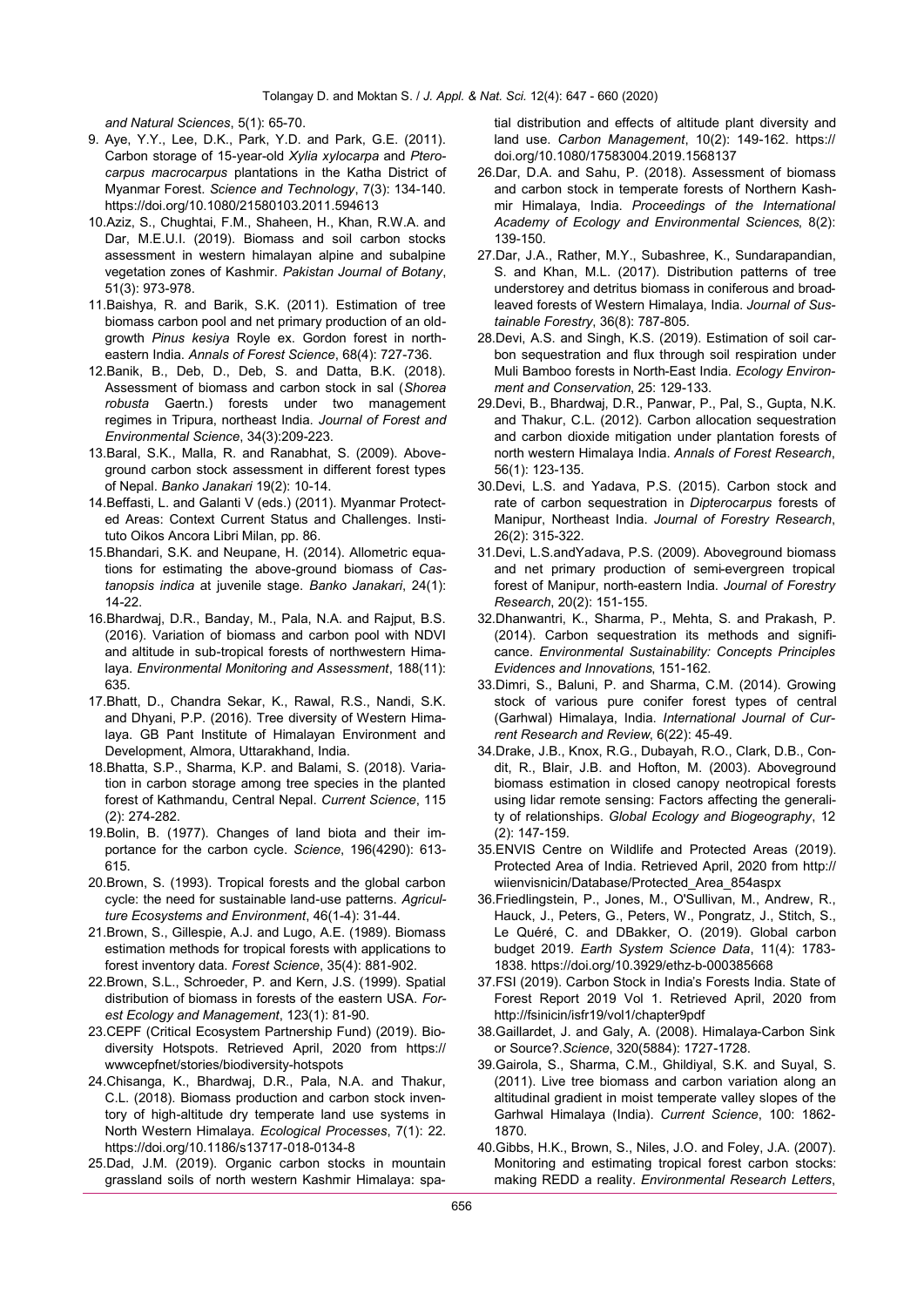*and Natural Sciences*, 5(1): 65-70.

- 9. Aye, Y.Y., Lee, D.K., Park, Y.D. and Park, G.E. (2011). Carbon storage of 15-year-old *Xylia xylocarpa* and *Pterocarpus macrocarpus* plantations in the Katha District of Myanmar Forest. *Science and Technology*, 7(3): 134-140. https://doi.org/10.1080/21580103.2011.594613
- 10.Aziz, S., Chughtai, F.M., Shaheen, H., Khan, R.W.A. and Dar, M.E.U.I. (2019). Biomass and soil carbon stocks assessment in western himalayan alpine and subalpine vegetation zones of Kashmir. *Pakistan Journal of Botany*, 51(3): 973-978.
- 11.Baishya, R. and Barik, S.K. (2011). Estimation of tree biomass carbon pool and net primary production of an oldgrowth *Pinus kesiya* Royle ex. Gordon forest in northeastern India. *Annals of Forest Science*, 68(4): 727-736.
- 12.Banik, B., Deb, D., Deb, S. and Datta, B.K. (2018). Assessment of biomass and carbon stock in sal (*Shorea robusta* Gaertn.) forests under two management regimes in Tripura, northeast India. *Journal of Forest and Environmental Science*, 34(3):209-223.
- 13.Baral, S.K., Malla, R. and Ranabhat, S. (2009). Aboveground carbon stock assessment in different forest types of Nepal. *Banko Janakari* 19(2): 10-14.
- 14.Beffasti, L. and Galanti V (eds.) (2011). Myanmar Protected Areas: Context Current Status and Challenges. Instituto Oikos Ancora Libri Milan, pp. 86.
- 15.Bhandari, S.K. and Neupane, H. (2014). Allometric equations for estimating the above-ground biomass of *Castanopsis indica* at juvenile stage. *Banko Janakari*, 24(1): 14-22.
- 16.Bhardwaj, D.R., Banday, M., Pala, N.A. and Rajput, B.S. (2016). Variation of biomass and carbon pool with NDVI and altitude in sub-tropical forests of northwestern Himalaya. *Environmental Monitoring and Assessment*, 188(11): 635.
- 17.Bhatt, D., Chandra Sekar, K., Rawal, R.S., Nandi, S.K. and Dhyani, P.P. (2016). Tree diversity of Western Himalaya. GB Pant Institute of Himalayan Environment and Development, Almora, Uttarakhand, India.
- 18.Bhatta, S.P., Sharma, K.P. and Balami, S. (2018). Variation in carbon storage among tree species in the planted forest of Kathmandu, Central Nepal. *Current Science*, 115 (2): 274-282.
- 19.Bolin, B. (1977). Changes of land biota and their importance for the carbon cycle. *Science*, 196(4290): 613- 615.
- 20.Brown, S. (1993). Tropical forests and the global carbon cycle: the need for sustainable land-use patterns. *Agriculture Ecosystems and Environment*, 46(1-4): 31-44.
- 21.Brown, S., Gillespie, A.J. and Lugo, A.E. (1989). Biomass estimation methods for tropical forests with applications to forest inventory data. *Forest Science*, 35(4): 881-902.
- 22.Brown, S.L., Schroeder, P. and Kern, J.S. (1999). Spatial distribution of biomass in forests of the eastern USA. *Forest Ecology and Management*, 123(1): 81-90.
- 23.CEPF (Critical Ecosystem Partnership Fund) (2019). Biodiversity Hotspots. Retrieved April, 2020 from https:// wwwcepfnet/stories/biodiversity-hotspots
- 24.Chisanga, K., Bhardwaj, D.R., Pala, N.A. and Thakur, C.L. (2018). Biomass production and carbon stock inventory of high-altitude dry temperate land use systems in North Western Himalaya. *Ecological Processes*, 7(1): 22. https://doi.org/10.1186/s13717-018-0134-8
- 25.Dad, J.M. (2019). Organic carbon stocks in mountain grassland soils of north western Kashmir Himalaya: spa-

tial distribution and effects of altitude plant diversity and land use. *Carbon Management*, 10(2): 149-162. https:// doi.org/10.1080/17583004.2019.1568137

- 26.Dar, D.A. and Sahu, P. (2018). Assessment of biomass and carbon stock in temperate forests of Northern Kashmir Himalaya, India. *Proceedings of the International Academy of Ecology and Environmental Sciences*, 8(2): 139-150.
- 27.Dar, J.A., Rather, M.Y., Subashree, K., Sundarapandian, S. and Khan, M.L. (2017). Distribution patterns of tree understorey and detritus biomass in coniferous and broadleaved forests of Western Himalaya, India. *Journal of Sustainable Forestry*, 36(8): 787-805.
- 28.Devi, A.S. and Singh, K.S. (2019). Estimation of soil carbon sequestration and flux through soil respiration under Muli Bamboo forests in North-East India. *Ecology Environment and Conservation*, 25: 129-133.
- 29.Devi, B., Bhardwaj, D.R., Panwar, P., Pal, S., Gupta, N.K. and Thakur, C.L. (2012). Carbon allocation sequestration and carbon dioxide mitigation under plantation forests of north western Himalaya India. *Annals of Forest Research*, 56(1): 123-135.
- 30.Devi, L.S. and Yadava, P.S. (2015). Carbon stock and rate of carbon sequestration in *Dipterocarpus* forests of Manipur, Northeast India. *Journal of Forestry Research*, 26(2): 315-322.
- 31.Devi, L.S.andYadava, P.S. (2009). Aboveground biomass and net primary production of semi-evergreen tropical forest of Manipur, north-eastern India. *Journal of Forestry Research*, 20(2): 151-155.
- 32.Dhanwantri, K., Sharma, P., Mehta, S. and Prakash, P. (2014). Carbon sequestration its methods and significance. *Environmental Sustainability: Concepts Principles Evidences and Innovations*, 151-162.
- 33.Dimri, S., Baluni, P. and Sharma, C.M. (2014). Growing stock of various pure conifer forest types of central (Garhwal) Himalaya, India. *International Journal of Current Research and Review*, 6(22): 45-49.
- 34.Drake, J.B., Knox, R.G., Dubayah, R.O., Clark, D.B., Condit, R., Blair, J.B. and Hofton, M. (2003). Aboveground biomass estimation in closed canopy neotropical forests using lidar remote sensing: Factors affecting the generality of relationships. *Global Ecology and Biogeography*, 12 (2): 147-159.
- 35.ENVIS Centre on Wildlife and Protected Areas (2019). Protected Area of India. Retrieved April, 2020 from http:// wiienvisnicin/Database/Protected\_Area\_854aspx
- 36.Friedlingstein, P., Jones, M., O'Sullivan, M., Andrew, R., Hauck, J., Peters, G., Peters, W., Pongratz, J., Stitch, S., Le Quéré, C. and DBakker, O. (2019). Global carbon budget 2019. *Earth System Science Data*, 11(4): 1783- 1838. https://doi.org/10.3929/ethz-b-000385668
- 37.FSI (2019). Carbon Stock in India's Forests India. State of Forest Report 2019 Vol 1. Retrieved April, 2020 from http://fsinicin/isfr19/vol1/chapter9pdf
- 38.Gaillardet, J. and Galy, A. (2008). Himalaya-Carbon Sink or Source?.*Science*, 320(5884): 1727-1728.
- 39.Gairola, S., Sharma, C.M., Ghildiyal, S.K. and Suyal, S. (2011). Live tree biomass and carbon variation along an altitudinal gradient in moist temperate valley slopes of the Garhwal Himalaya (India). *Current Science*, 100: 1862- 1870.
- 40.Gibbs, H.K., Brown, S., Niles, J.O. and Foley, J.A. (2007). Monitoring and estimating tropical forest carbon stocks: making REDD a reality. *Environmental Research Letters*,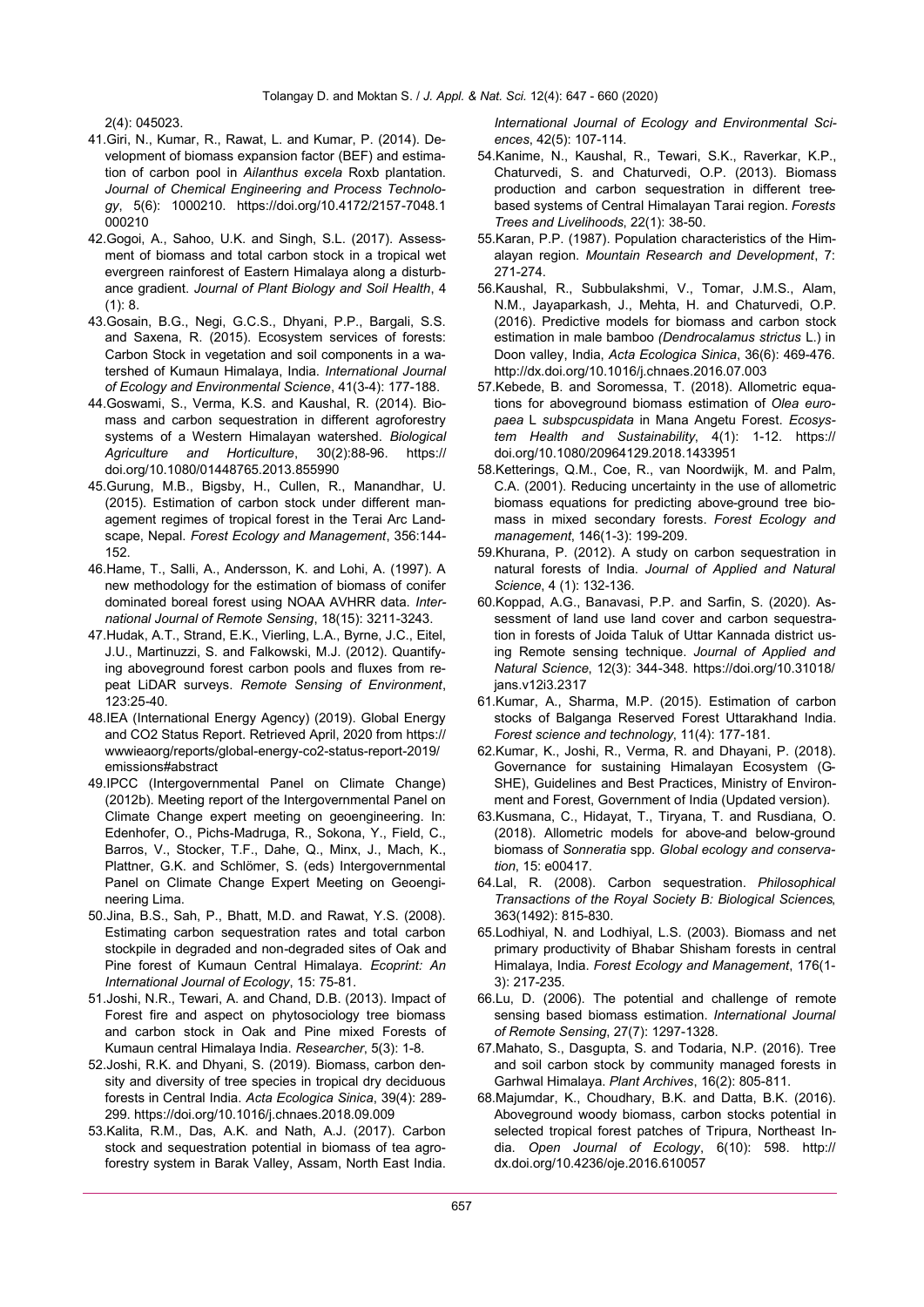2(4): 045023.

- 41.Giri, N., Kumar, R., Rawat, L. and Kumar, P. (2014). Development of biomass expansion factor (BEF) and estimation of carbon pool in *Ailanthus excela* Roxb plantation. *Journal of Chemical Engineering and Process Technology*, 5(6): 1000210. https://doi.org/10.4172/2157-7048.1 000210
- 42.Gogoi, A., Sahoo, U.K. and Singh, S.L. (2017). Assessment of biomass and total carbon stock in a tropical wet evergreen rainforest of Eastern Himalaya along a disturbance gradient. *Journal of Plant Biology and Soil Health*, 4 (1): 8.
- 43.Gosain, B.G., Negi, G.C.S., Dhyani, P.P., Bargali, S.S. and Saxena, R. (2015). Ecosystem services of forests: Carbon Stock in vegetation and soil components in a watershed of Kumaun Himalaya, India. *International Journal of Ecology and Environmental Science*, 41(3-4): 177-188.
- 44.Goswami, S., Verma, K.S. and Kaushal, R. (2014). Biomass and carbon sequestration in different agroforestry systems of a Western Himalayan watershed. *Biological Agriculture and Horticulture*, 30(2):88-96. https:// doi.org/10.1080/01448765.2013.855990
- 45.Gurung, M.B., Bigsby, H., Cullen, R., Manandhar, U. (2015). Estimation of carbon stock under different management regimes of tropical forest in the Terai Arc Landscape, Nepal. *Forest Ecology and Management*, 356:144- 152.
- 46.Hame, T., Salli, A., Andersson, K. and Lohi, A. (1997). A new methodology for the estimation of biomass of conifer dominated boreal forest using NOAA AVHRR data. *International Journal of Remote Sensing*, 18(15): 3211-3243.
- 47.Hudak, A.T., Strand, E.K., Vierling, L.A., Byrne, J.C., Eitel, J.U., Martinuzzi, S. and Falkowski, M.J. (2012). Quantifying aboveground forest carbon pools and fluxes from repeat LiDAR surveys. *Remote Sensing of Environment*, 123:25-40.
- 48.IEA (International Energy Agency) (2019). Global Energy and CO2 Status Report. Retrieved April, 2020 from https:// wwwieaorg/reports/global-energy-co2-status-report-2019/ emissions#abstract
- 49.IPCC (Intergovernmental Panel on Climate Change) (2012b). Meeting report of the Intergovernmental Panel on Climate Change expert meeting on geoengineering. In: Edenhofer, O., Pichs-Madruga, R., Sokona, Y., Field, C., Barros, V., Stocker, T.F., Dahe, Q., Minx, J., Mach, K., Plattner, G.K. and Schlömer, S. (eds) Intergovernmental Panel on Climate Change Expert Meeting on Geoengineering Lima.
- 50.Jina, B.S., Sah, P., Bhatt, M.D. and Rawat, Y.S. (2008). Estimating carbon sequestration rates and total carbon stockpile in degraded and non-degraded sites of Oak and Pine forest of Kumaun Central Himalaya. *Ecoprint: An International Journal of Ecology*, 15: 75-81.
- 51.Joshi, N.R., Tewari, A. and Chand, D.B. (2013). Impact of Forest fire and aspect on phytosociology tree biomass and carbon stock in Oak and Pine mixed Forests of Kumaun central Himalaya India. *Researcher*, 5(3): 1-8.
- 52.Joshi, R.K. and Dhyani, S. (2019). Biomass, carbon density and diversity of tree species in tropical dry deciduous forests in Central India. *Acta Ecologica Sinica*, 39(4): 289- 299. https://doi.org/10.1016/j.chnaes.2018.09.009
- 53.Kalita, R.M., Das, A.K. and Nath, A.J. (2017). Carbon stock and sequestration potential in biomass of tea agroforestry system in Barak Valley, Assam, North East India.

*International Journal of Ecology and Environmental Sciences*, 42(5): 107-114.

- 54.Kanime, N., Kaushal, R., Tewari, S.K., Raverkar, K.P., Chaturvedi, S. and Chaturvedi, O.P. (2013). Biomass production and carbon sequestration in different treebased systems of Central Himalayan Tarai region. *Forests Trees and Livelihoods*, 22(1): 38-50.
- 55.Karan, P.P. (1987). Population characteristics of the Himalayan region. *Mountain Research and Development*, 7: 271-274.
- 56.Kaushal, R., Subbulakshmi, V., Tomar, J.M.S., Alam, N.M., Jayaparkash, J., Mehta, H. and Chaturvedi, O.P. (2016). Predictive models for biomass and carbon stock estimation in male bamboo *(Dendrocalamus strictus* L.) in Doon valley, India, *Acta Ecologica Sinica*, 36(6): 469-476. http://dx.doi.org/10.1016/j.chnaes.2016.07.003
- 57.Kebede, B. and Soromessa, T. (2018). Allometric equations for aboveground biomass estimation of *Olea europaea* L *subspcuspidata* in Mana Angetu Forest. *Ecosystem Health and Sustainability*, 4(1): 1-12. https:// doi.org/10.1080/20964129.2018.1433951
- 58.Ketterings, Q.M., Coe, R., van Noordwijk, M. and Palm, C.A. (2001). Reducing uncertainty in the use of allometric biomass equations for predicting above-ground tree biomass in mixed secondary forests. *Forest Ecology and management*, 146(1-3): 199-209.
- 59.Khurana, P. (2012). A study on carbon sequestration in natural forests of India. *Journal of Applied and Natural Science*, 4 (1): 132-136.
- 60.Koppad, A.G., Banavasi, P.P. and Sarfin, S. (2020). Assessment of land use land cover and carbon sequestration in forests of Joida Taluk of Uttar Kannada district using Remote sensing technique. *Journal of Applied and Natural Science*, 12(3): 344-348. https://doi.org/10.31018/ jans.v12i3.2317
- 61.Kumar, A., Sharma, M.P. (2015). Estimation of carbon stocks of Balganga Reserved Forest Uttarakhand India. *Forest science and technology*, 11(4): 177-181.
- 62.Kumar, K., Joshi, R., Verma, R. and Dhayani, P. (2018). Governance for sustaining Himalayan Ecosystem (G-SHE), Guidelines and Best Practices, Ministry of Environment and Forest, Government of India (Updated version).
- 63.Kusmana, C., Hidayat, T., Tiryana, T. and Rusdiana, O. (2018). Allometric models for above-and below-ground biomass of *Sonneratia* spp. *Global ecology and conservation*, 15: e00417.
- 64.Lal, R. (2008). Carbon sequestration. *Philosophical Transactions of the Royal Society B: Biological Sciences*, 363(1492): 815-830.
- 65.Lodhiyal, N. and Lodhiyal, L.S. (2003). Biomass and net primary productivity of Bhabar Shisham forests in central Himalaya, India. *Forest Ecology and Management*, 176(1- 3): 217-235.
- 66.Lu, D. (2006). The potential and challenge of remote sensing based biomass estimation. *International Journal of Remote Sensing*, 27(7): 1297-1328.
- 67.Mahato, S., Dasgupta, S. and Todaria, N.P. (2016). Tree and soil carbon stock by community managed forests in Garhwal Himalaya. *Plant Archives*, 16(2): 805-811.
- 68.Majumdar, K., Choudhary, B.K. and Datta, B.K. (2016). Aboveground woody biomass, carbon stocks potential in selected tropical forest patches of Tripura, Northeast India. *Open Journal of Ecology*, 6(10): 598. http:// dx.doi.org/10.4236/oje.2016.610057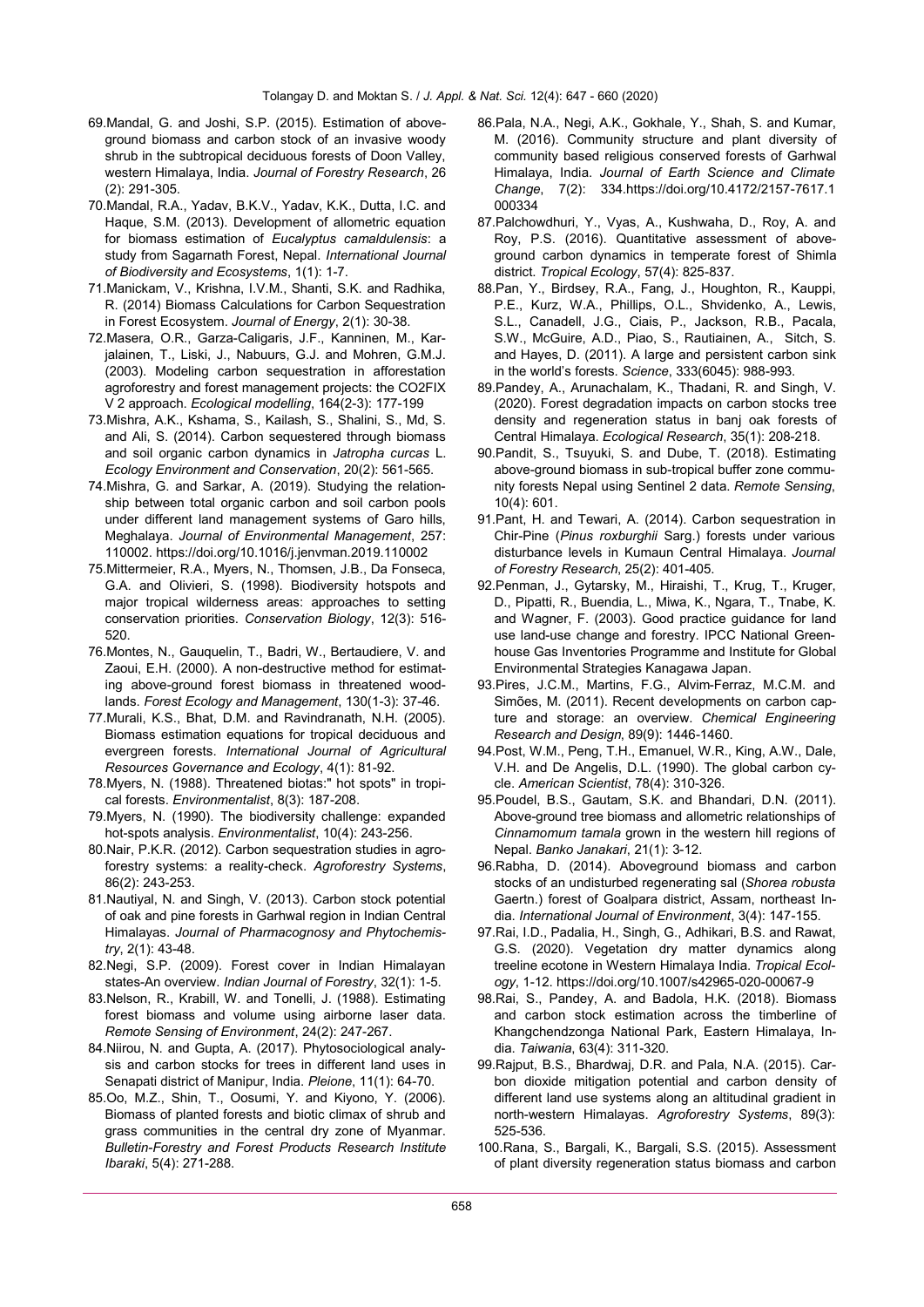- 69.Mandal, G. and Joshi, S.P. (2015). Estimation of aboveground biomass and carbon stock of an invasive woody shrub in the subtropical deciduous forests of Doon Valley, western Himalaya, India. *Journal of Forestry Research*, 26 (2): 291-305.
- 70.Mandal, R.A., Yadav, B.K.V., Yadav, K.K., Dutta, I.C. and Haque, S.M. (2013). Development of allometric equation for biomass estimation of *Eucalyptus camaldulensis*: a study from Sagarnath Forest, Nepal. *International Journal of Biodiversity and Ecosystems*, 1(1): 1-7.
- 71.Manickam, V., Krishna, I.V.M., Shanti, S.K. and Radhika, R. (2014) Biomass Calculations for Carbon Sequestration in Forest Ecosystem. *Journal of Energy*, 2(1): 30-38.
- 72.Masera, O.R., Garza-Caligaris, J.F., Kanninen, M., Karjalainen, T., Liski, J., Nabuurs, G.J. and Mohren, G.M.J. (2003). Modeling carbon sequestration in afforestation agroforestry and forest management projects: the CO2FIX V 2 approach. *Ecological modelling*, 164(2-3): 177-199
- 73.Mishra, A.K., Kshama, S., Kailash, S., Shalini, S., Md, S. and Ali, S. (2014). Carbon sequestered through biomass and soil organic carbon dynamics in *Jatropha curcas* L. *Ecology Environment and Conservation*, 20(2): 561-565.
- 74.Mishra, G. and Sarkar, A. (2019). Studying the relationship between total organic carbon and soil carbon pools under different land management systems of Garo hills, Meghalaya. *Journal of Environmental Management*, 257: 110002. https://doi.org/10.1016/j.jenvman.2019.110002
- 75.Mittermeier, R.A., Myers, N., Thomsen, J.B., Da Fonseca, G.A. and Olivieri, S. (1998). Biodiversity hotspots and major tropical wilderness areas: approaches to setting conservation priorities. *Conservation Biology*, 12(3): 516- 520.
- 76.Montes, N., Gauquelin, T., Badri, W., Bertaudiere, V. and Zaoui, E.H. (2000). A non-destructive method for estimating above-ground forest biomass in threatened woodlands. *Forest Ecology and Management*, 130(1-3): 37-46.
- 77.Murali, K.S., Bhat, D.M. and Ravindranath, N.H. (2005). Biomass estimation equations for tropical deciduous and evergreen forests. *International Journal of Agricultural Resources Governance and Ecology*, 4(1): 81-92.
- 78.Myers, N. (1988). Threatened biotas:" hot spots" in tropical forests. *Environmentalist*, 8(3): 187-208.
- 79.Myers, N. (1990). The biodiversity challenge: expanded hot-spots analysis. *Environmentalist*, 10(4): 243-256.
- 80.Nair, P.K.R. (2012). Carbon sequestration studies in agroforestry systems: a reality-check. *Agroforestry Systems*, 86(2): 243-253.
- 81.Nautiyal, N. and Singh, V. (2013). Carbon stock potential of oak and pine forests in Garhwal region in Indian Central Himalayas. *Journal of Pharmacognosy and Phytochemistry*, 2(1): 43-48.
- 82.Negi, S.P. (2009). Forest cover in Indian Himalayan states-An overview. *Indian Journal of Forestry*, 32(1): 1-5.
- 83.Nelson, R., Krabill, W. and Tonelli, J. (1988). Estimating forest biomass and volume using airborne laser data. *Remote Sensing of Environment*, 24(2): 247-267.
- 84.Niirou, N. and Gupta, A. (2017). Phytosociological analysis and carbon stocks for trees in different land uses in Senapati district of Manipur, India. *Pleione*, 11(1): 64-70.
- 85.Oo, M.Z., Shin, T., Oosumi, Y. and Kiyono, Y. (2006). Biomass of planted forests and biotic climax of shrub and grass communities in the central dry zone of Myanmar. *Bulletin-Forestry and Forest Products Research Institute Ibaraki*, 5(4): 271-288.
- 86.Pala, N.A., Negi, A.K., Gokhale, Y., Shah, S. and Kumar, M. (2016). Community structure and plant diversity of community based religious conserved forests of Garhwal Himalaya, India. *Journal of Earth Science and Climate Change*, 7(2): 334.https://doi.org/10.4172/2157-7617.1 000334
- 87.Palchowdhuri, Y., Vyas, A., Kushwaha, D., Roy, A. and Roy, P.S. (2016). Quantitative assessment of aboveground carbon dynamics in temperate forest of Shimla district. *Tropical Ecology*, 57(4): 825-837.
- 88.Pan, Y., Birdsey, R.A., Fang, J., Houghton, R., Kauppi, P.E., Kurz, W.A., Phillips, O.L., Shvidenko, A., Lewis, S.L., Canadell, J.G., Ciais, P., Jackson, R.B., Pacala, S.W., McGuire, A.D., Piao, S., Rautiainen, A., Sitch, S. and Hayes, D. (2011). A large and persistent carbon sink in the world's forests. *Science*, 333(6045): 988-993.
- 89.Pandey, A., Arunachalam, K., Thadani, R. and Singh, V. (2020). Forest degradation impacts on carbon stocks tree density and regeneration status in banj oak forests of Central Himalaya. *Ecological Research*, 35(1): 208-218.
- 90.Pandit, S., Tsuyuki, S. and Dube, T. (2018). Estimating above-ground biomass in sub-tropical buffer zone community forests Nepal using Sentinel 2 data. *Remote Sensing*, 10(4): 601.
- 91.Pant, H. and Tewari, A. (2014). Carbon sequestration in Chir-Pine (*Pinus roxburghii* Sarg.) forests under various disturbance levels in Kumaun Central Himalaya. *Journal of Forestry Research*, 25(2): 401-405.
- 92.Penman, J., Gytarsky, M., Hiraishi, T., Krug, T., Kruger, D., Pipatti, R., Buendia, L., Miwa, K., Ngara, T., Tnabe, K. and Wagner, F. (2003). Good practice guidance for land use land-use change and forestry. IPCC National Greenhouse Gas Inventories Programme and Institute for Global Environmental Strategies Kanagawa Japan.
- 93.Pires, J.C.M., Martins, F.G., Alvim-Ferraz, M.C.M. and Simões, M. (2011). Recent developments on carbon capture and storage: an overview. *Chemical Engineering Research and Design*, 89(9): 1446-1460.
- 94.Post, W.M., Peng, T.H., Emanuel, W.R., King, A.W., Dale, V.H. and De Angelis, D.L. (1990). The global carbon cycle. *American Scientist*, 78(4): 310-326.
- 95.Poudel, B.S., Gautam, S.K. and Bhandari, D.N. (2011). Above-ground tree biomass and allometric relationships of *Cinnamomum tamala* grown in the western hill regions of Nepal. *Banko Janakari*, 21(1): 3-12.
- 96.Rabha, D. (2014). Aboveground biomass and carbon stocks of an undisturbed regenerating sal (*Shorea robusta*  Gaertn.) forest of Goalpara district, Assam, northeast India. *International Journal of Environment*, 3(4): 147-155.
- 97.Rai, I.D., Padalia, H., Singh, G., Adhikari, B.S. and Rawat, G.S. (2020). Vegetation dry matter dynamics along treeline ecotone in Western Himalaya India. *Tropical Ecology*, 1-12. https://doi.org/10.1007/s42965-020-00067-9
- 98.Rai, S., Pandey, A. and Badola, H.K. (2018). Biomass and carbon stock estimation across the timberline of Khangchendzonga National Park, Eastern Himalaya, India. *Taiwania*, 63(4): 311-320.
- 99.Rajput, B.S., Bhardwaj, D.R. and Pala, N.A. (2015). Carbon dioxide mitigation potential and carbon density of different land use systems along an altitudinal gradient in north-western Himalayas. *Agroforestry Systems*, 89(3): 525-536.
- 100.Rana, S., Bargali, K., Bargali, S.S. (2015). Assessment of plant diversity regeneration status biomass and carbon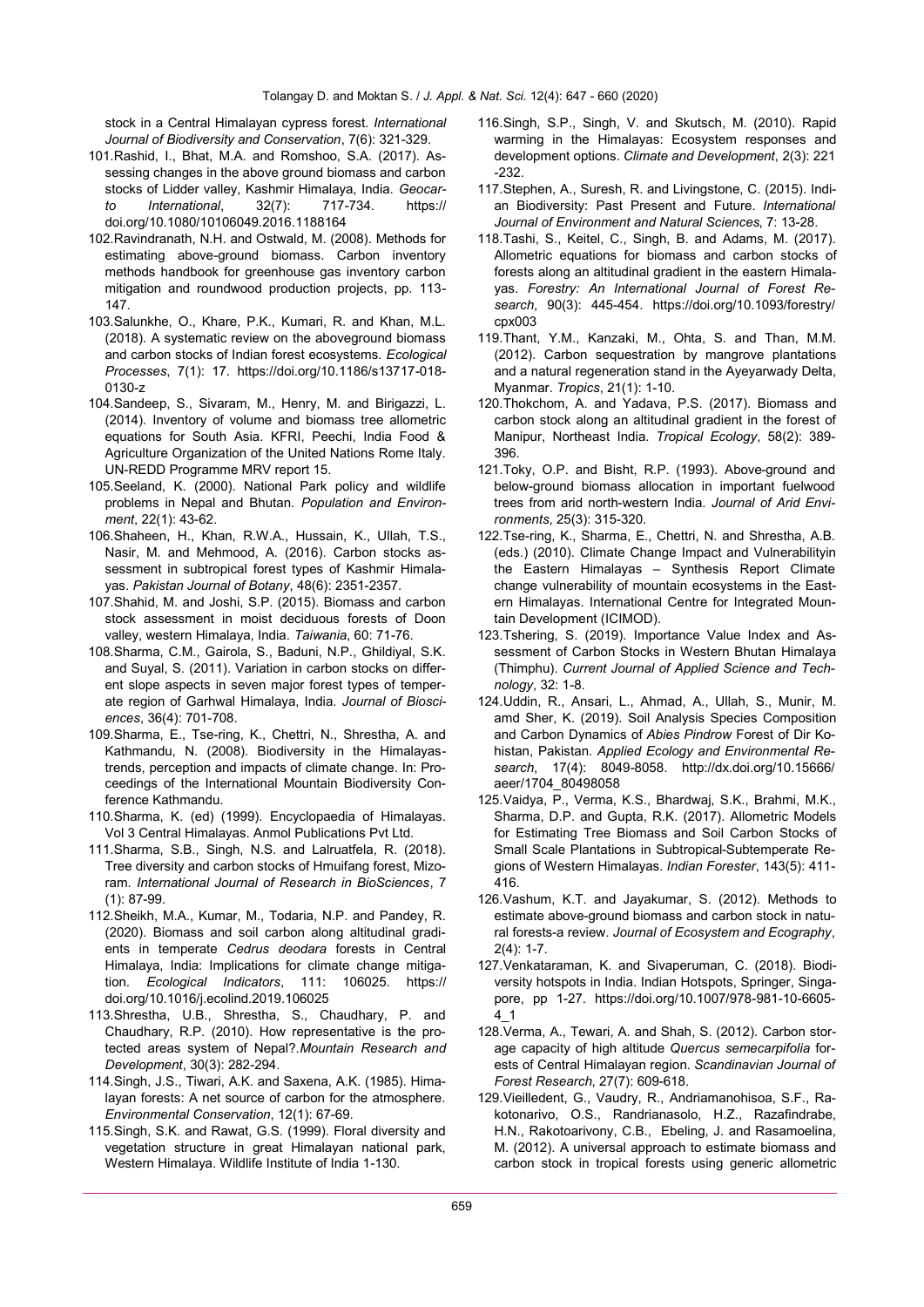stock in a Central Himalayan cypress forest. *International Journal of Biodiversity and Conservation*, 7(6): 321-329.

- 101.Rashid, I., Bhat, M.A. and Romshoo, S.A. (2017). Assessing changes in the above ground biomass and carbon stocks of Lidder valley, Kashmir Himalaya, India. *Geocarto International*, 32(7): 717-734. https:// doi.org/10.1080/10106049.2016.1188164
- 102.Ravindranath, N.H. and Ostwald, M. (2008). Methods for estimating above-ground biomass. Carbon inventory methods handbook for greenhouse gas inventory carbon mitigation and roundwood production projects, pp. 113- 147.
- 103.Salunkhe, O., Khare, P.K., Kumari, R. and Khan, M.L. (2018). A systematic review on the aboveground biomass and carbon stocks of Indian forest ecosystems. *Ecological Processes*, 7(1): 17. https://doi.org/10.1186/s13717-018- 0130-z
- 104.Sandeep, S., Sivaram, M., Henry, M. and Birigazzi, L. (2014). Inventory of volume and biomass tree allometric equations for South Asia. KFRI, Peechi, India Food & Agriculture Organization of the United Nations Rome Italy. UN-REDD Programme MRV report 15.
- 105.Seeland, K. (2000). National Park policy and wildlife problems in Nepal and Bhutan. *Population and Environment*, 22(1): 43-62.
- 106.Shaheen, H., Khan, R.W.A., Hussain, K., Ullah, T.S., Nasir, M. and Mehmood, A. (2016). Carbon stocks assessment in subtropical forest types of Kashmir Himalayas. *Pakistan Journal of Botany*, 48(6): 2351-2357.
- 107.Shahid, M. and Joshi, S.P. (2015). Biomass and carbon stock assessment in moist deciduous forests of Doon valley, western Himalaya, India. *Taiwania*, 60: 71-76.
- 108.Sharma, C.M., Gairola, S., Baduni, N.P., Ghildiyal, S.K. and Suyal, S. (2011). Variation in carbon stocks on different slope aspects in seven major forest types of temperate region of Garhwal Himalaya, India. *Journal of Biosciences*, 36(4): 701-708.
- 109.Sharma, E., Tse-ring, K., Chettri, N., Shrestha, A. and Kathmandu, N. (2008). Biodiversity in the Himalayastrends, perception and impacts of climate change. In: Proceedings of the International Mountain Biodiversity Conference Kathmandu.
- 110.Sharma, K. (ed) (1999). Encyclopaedia of Himalayas. Vol 3 Central Himalayas. Anmol Publications Pvt Ltd.
- 111.Sharma, S.B., Singh, N.S. and Lalruatfela, R. (2018). Tree diversity and carbon stocks of Hmuifang forest, Mizoram. *International Journal of Research in BioSciences*, 7 (1): 87-99.
- 112.Sheikh, M.A., Kumar, M., Todaria, N.P. and Pandey, R. (2020). Biomass and soil carbon along altitudinal gradients in temperate *Cedrus deodara* forests in Central Himalaya, India: Implications for climate change mitigation. *Ecological Indicators*, 111: 106025. https:// doi.org/10.1016/j.ecolind.2019.106025
- 113.Shrestha, U.B., Shrestha, S., Chaudhary, P. and Chaudhary, R.P. (2010). How representative is the protected areas system of Nepal?.*Mountain Research and Development*, 30(3): 282-294.
- 114.Singh, J.S., Tiwari, A.K. and Saxena, A.K. (1985). Himalayan forests: A net source of carbon for the atmosphere. *Environmental Conservation*, 12(1): 67-69.
- 115.Singh, S.K. and Rawat, G.S. (1999). Floral diversity and vegetation structure in great Himalayan national park, Western Himalaya. Wildlife Institute of India 1-130.
- 116.Singh, S.P., Singh, V. and Skutsch, M. (2010). Rapid warming in the Himalayas: Ecosystem responses and development options. *Climate and Development*, 2(3): 221 -232.
- 117.Stephen, A., Suresh, R. and Livingstone, C. (2015). Indian Biodiversity: Past Present and Future. *International Journal of Environment and Natural Sciences*, 7: 13-28.
- 118.Tashi, S., Keitel, C., Singh, B. and Adams, M. (2017). Allometric equations for biomass and carbon stocks of forests along an altitudinal gradient in the eastern Himalayas. *Forestry: An International Journal of Forest Research*, 90(3): 445-454. https://doi.org/10.1093/forestry/ cpx003
- 119.Thant, Y.M., Kanzaki, M., Ohta, S. and Than, M.M. (2012). Carbon sequestration by mangrove plantations and a natural regeneration stand in the Ayeyarwady Delta, Myanmar. *Tropics*, 21(1): 1-10.
- 120.Thokchom, A. and Yadava, P.S. (2017). Biomass and carbon stock along an altitudinal gradient in the forest of Manipur, Northeast India. *Tropical Ecology*, 58(2): 389- 396.
- 121.Toky, O.P. and Bisht, R.P. (1993). Above-ground and below-ground biomass allocation in important fuelwood trees from arid north-western India. *Journal of Arid Environments*, 25(3): 315-320.
- 122.Tse-ring, K., Sharma, E., Chettri, N. and Shrestha, A.B. (eds.) (2010). Climate Change Impact and Vulnerabilityin the Eastern Himalayas – Synthesis Report Climate change vulnerability of mountain ecosystems in the Eastern Himalayas. International Centre for Integrated Mountain Development (ICIMOD).
- 123.Tshering, S. (2019). Importance Value Index and Assessment of Carbon Stocks in Western Bhutan Himalaya (Thimphu). *Current Journal of Applied Science and Technology*, 32: 1-8.
- 124.Uddin, R., Ansari, L., Ahmad, A., Ullah, S., Munir, M. amd Sher, K. (2019). Soil Analysis Species Composition and Carbon Dynamics of *Abies Pindrow* Forest of Dir Kohistan, Pakistan. *Applied Ecology and Environmental Research*, 17(4): 8049-8058. http://dx.doi.org/10.15666/ aeer/1704\_80498058
- 125.Vaidya, P., Verma, K.S., Bhardwaj, S.K., Brahmi, M.K., Sharma, D.P. and Gupta, R.K. (2017). Allometric Models for Estimating Tree Biomass and Soil Carbon Stocks of Small Scale Plantations in Subtropical-Subtemperate Regions of Western Himalayas. *Indian Forester*, 143(5): 411- 416.
- 126.Vashum, K.T. and Jayakumar, S. (2012). Methods to estimate above-ground biomass and carbon stock in natural forests-a review. *Journal of Ecosystem and Ecography*, 2(4): 1-7.
- 127.Venkataraman, K. and Sivaperuman, C. (2018). Biodiversity hotspots in India. Indian Hotspots, Springer, Singapore, pp 1-27. https://doi.org/10.1007/978-981-10-6605- 4\_1
- 128.Verma, A., Tewari, A. and Shah, S. (2012). Carbon storage capacity of high altitude *Quercus semecarpifolia* forests of Central Himalayan region. *Scandinavian Journal of Forest Research*, 27(7): 609-618.
- 129.Vieilledent, G., Vaudry, R., Andriamanohisoa, S.F., Rakotonarivo, O.S., Randrianasolo, H.Z., Razafindrabe, H.N., Rakotoarivony, C.B., Ebeling, J. and Rasamoelina, M. (2012). A universal approach to estimate biomass and carbon stock in tropical forests using generic allometric